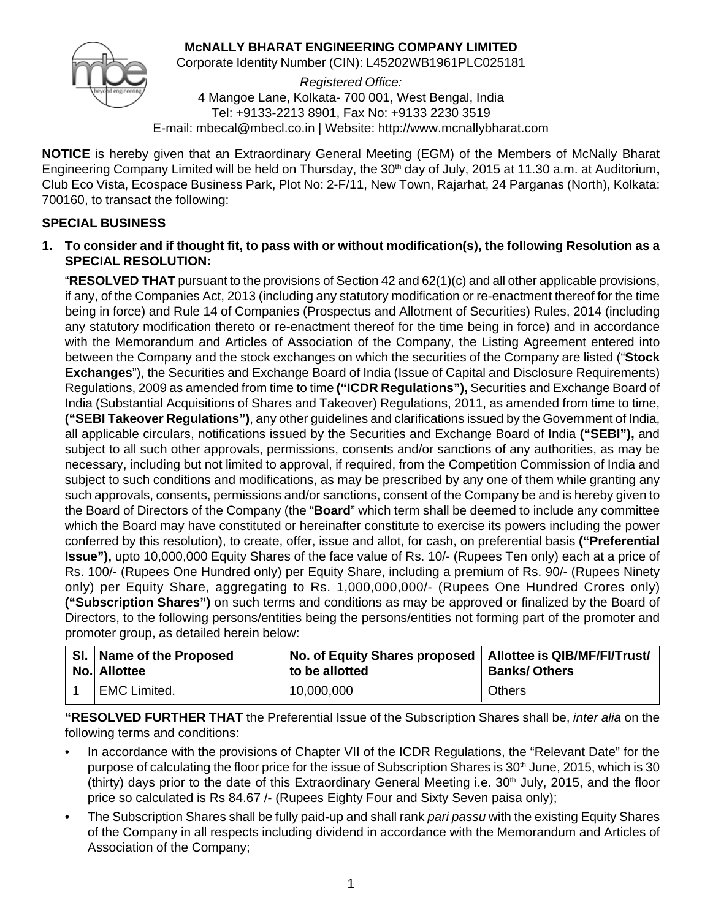# **McNALLY BHARAT ENGINEERING COMPANY LIMITED**



Corporate Identity Number (CIN): L45202WB1961PLC025181

*Registered Office:* 4 Mangoe Lane, Kolkata- 700 001, West Bengal, India Tel: +9133-2213 8901, Fax No: +9133 2230 3519 E-mail: mbecal@mbecl.co.in | Website: http://www.mcnallybharat.com

**NOTICE** is hereby given that an Extraordinary General Meeting (EGM) of the Members of McNally Bharat Engineering Company Limited will be held on Thursday, the 30<sup>th</sup> day of July, 2015 at 11.30 a.m. at Auditorium, Club Eco Vista, Ecospace Business Park, Plot No: 2-F/11, New Town, Rajarhat, 24 Parganas (North), Kolkata: 700160, to transact the following:

# **SPECIAL BUSINESS**

**1. To consider and if thought fit, to pass with or without modification(s), the following Resolution as a SPECIAL RESOLUTION:**

"**RESOLVED THAT** pursuant to the provisions of Section 42 and 62(1)(c) and all other applicable provisions, if any, of the Companies Act, 2013 (including any statutory modification or re-enactment thereof for the time being in force) and Rule 14 of Companies (Prospectus and Allotment of Securities) Rules, 2014 (including any statutory modification thereto or re-enactment thereof for the time being in force) and in accordance with the Memorandum and Articles of Association of the Company, the Listing Agreement entered into between the Company and the stock exchanges on which the securities of the Company are listed ("**Stock Exchanges**"), the Securities and Exchange Board of India (Issue of Capital and Disclosure Requirements) Regulations, 2009 as amended from time to time **("ICDR Regulations"),** Securities and Exchange Board of India (Substantial Acquisitions of Shares and Takeover) Regulations, 2011, as amended from time to time, **("SEBI Takeover Regulations")**, any other guidelines and clarifications issued by the Government of India, all applicable circulars, notifications issued by the Securities and Exchange Board of India **("SEBI"),** and subject to all such other approvals, permissions, consents and/or sanctions of any authorities, as may be necessary, including but not limited to approval, if required, from the Competition Commission of India and subject to such conditions and modifications, as may be prescribed by any one of them while granting any such approvals, consents, permissions and/or sanctions, consent of the Company be and is hereby given to the Board of Directors of the Company (the "**Board**" which term shall be deemed to include any committee which the Board may have constituted or hereinafter constitute to exercise its powers including the power conferred by this resolution), to create, offer, issue and allot, for cash, on preferential basis **("Preferential Issue"),** upto 10,000,000 Equity Shares of the face value of Rs. 10/- (Rupees Ten only) each at a price of Rs. 100/- (Rupees One Hundred only) per Equity Share, including a premium of Rs. 90/- (Rupees Ninety only) per Equity Share, aggregating to Rs. 1,000,000,000/- (Rupees One Hundred Crores only) **("Subscription Shares")** on such terms and conditions as may be approved or finalized by the Board of Directors, to the following persons/entities being the persons/entities not forming part of the promoter and promoter group, as detailed herein below:

| SI. Name of the Proposed<br>No. Allottee | No. of Equity Shares proposed   Allottee is QIB/MF/FI/Trust/<br>to be allotted | <b>Banks/Others</b> |
|------------------------------------------|--------------------------------------------------------------------------------|---------------------|
| EMC Limited.                             | 10.000.000                                                                     | Others              |

**"RESOLVED FURTHER THAT** the Preferential Issue of the Subscription Shares shall be, *inter alia* on the following terms and conditions:

- In accordance with the provisions of Chapter VII of the ICDR Regulations, the "Relevant Date" for the purpose of calculating the floor price for the issue of Subscription Shares is  $30<sup>th</sup>$  June, 2015, which is 30 (thirty) days prior to the date of this Extraordinary General Meeting i.e.  $30<sup>th</sup>$  July, 2015, and the floor price so calculated is Rs 84.67 /- (Rupees Eighty Four and Sixty Seven paisa only);
- The Subscription Shares shall be fully paid-up and shall rank *pari passu* with the existing Equity Shares of the Company in all respects including dividend in accordance with the Memorandum and Articles of Association of the Company;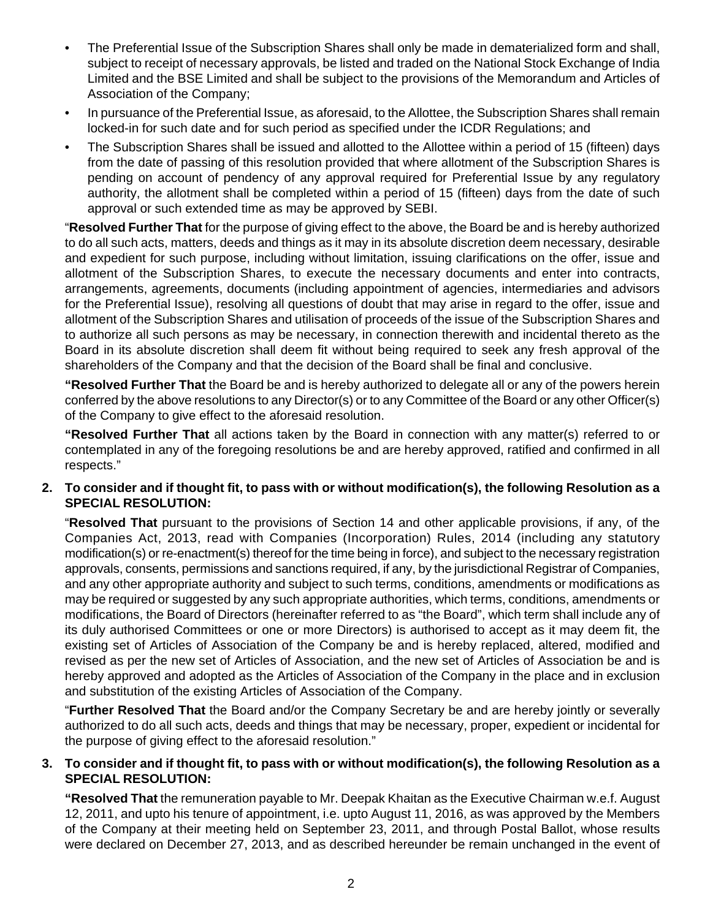- The Preferential Issue of the Subscription Shares shall only be made in dematerialized form and shall, subject to receipt of necessary approvals, be listed and traded on the National Stock Exchange of India Limited and the BSE Limited and shall be subject to the provisions of the Memorandum and Articles of Association of the Company;
- In pursuance of the Preferential Issue, as aforesaid, to the Allottee, the Subscription Shares shall remain locked-in for such date and for such period as specified under the ICDR Regulations; and
- The Subscription Shares shall be issued and allotted to the Allottee within a period of 15 (fifteen) days from the date of passing of this resolution provided that where allotment of the Subscription Shares is pending on account of pendency of any approval required for Preferential Issue by any regulatory authority, the allotment shall be completed within a period of 15 (fifteen) days from the date of such approval or such extended time as may be approved by SEBI.

"**Resolved Further That** for the purpose of giving effect to the above, the Board be and is hereby authorized to do all such acts, matters, deeds and things as it may in its absolute discretion deem necessary, desirable and expedient for such purpose, including without limitation, issuing clarifications on the offer, issue and allotment of the Subscription Shares, to execute the necessary documents and enter into contracts, arrangements, agreements, documents (including appointment of agencies, intermediaries and advisors for the Preferential Issue), resolving all questions of doubt that may arise in regard to the offer, issue and allotment of the Subscription Shares and utilisation of proceeds of the issue of the Subscription Shares and to authorize all such persons as may be necessary, in connection therewith and incidental thereto as the Board in its absolute discretion shall deem fit without being required to seek any fresh approval of the shareholders of the Company and that the decision of the Board shall be final and conclusive.

**"Resolved Further That** the Board be and is hereby authorized to delegate all or any of the powers herein conferred by the above resolutions to any Director(s) or to any Committee of the Board or any other Officer(s) of the Company to give effect to the aforesaid resolution.

**"Resolved Further That** all actions taken by the Board in connection with any matter(s) referred to or contemplated in any of the foregoing resolutions be and are hereby approved, ratified and confirmed in all respects."

## **2. To consider and if thought fit, to pass with or without modification(s), the following Resolution as a SPECIAL RESOLUTION:**

"**Resolved That** pursuant to the provisions of Section 14 and other applicable provisions, if any, of the Companies Act, 2013, read with Companies (Incorporation) Rules, 2014 (including any statutory modification(s) or re-enactment(s) thereof for the time being in force), and subject to the necessary registration approvals, consents, permissions and sanctions required, if any, by the jurisdictional Registrar of Companies, and any other appropriate authority and subject to such terms, conditions, amendments or modifications as may be required or suggested by any such appropriate authorities, which terms, conditions, amendments or modifications, the Board of Directors (hereinafter referred to as "the Board", which term shall include any of its duly authorised Committees or one or more Directors) is authorised to accept as it may deem fit, the existing set of Articles of Association of the Company be and is hereby replaced, altered, modified and revised as per the new set of Articles of Association, and the new set of Articles of Association be and is hereby approved and adopted as the Articles of Association of the Company in the place and in exclusion and substitution of the existing Articles of Association of the Company.

"**Further Resolved That** the Board and/or the Company Secretary be and are hereby jointly or severally authorized to do all such acts, deeds and things that may be necessary, proper, expedient or incidental for the purpose of giving effect to the aforesaid resolution."

# **3. To consider and if thought fit, to pass with or without modification(s), the following Resolution as a SPECIAL RESOLUTION:**

**"Resolved That** the remuneration payable to Mr. Deepak Khaitan as the Executive Chairman w.e.f. August 12, 2011, and upto his tenure of appointment, i.e. upto August 11, 2016, as was approved by the Members of the Company at their meeting held on September 23, 2011, and through Postal Ballot, whose results were declared on December 27, 2013, and as described hereunder be remain unchanged in the event of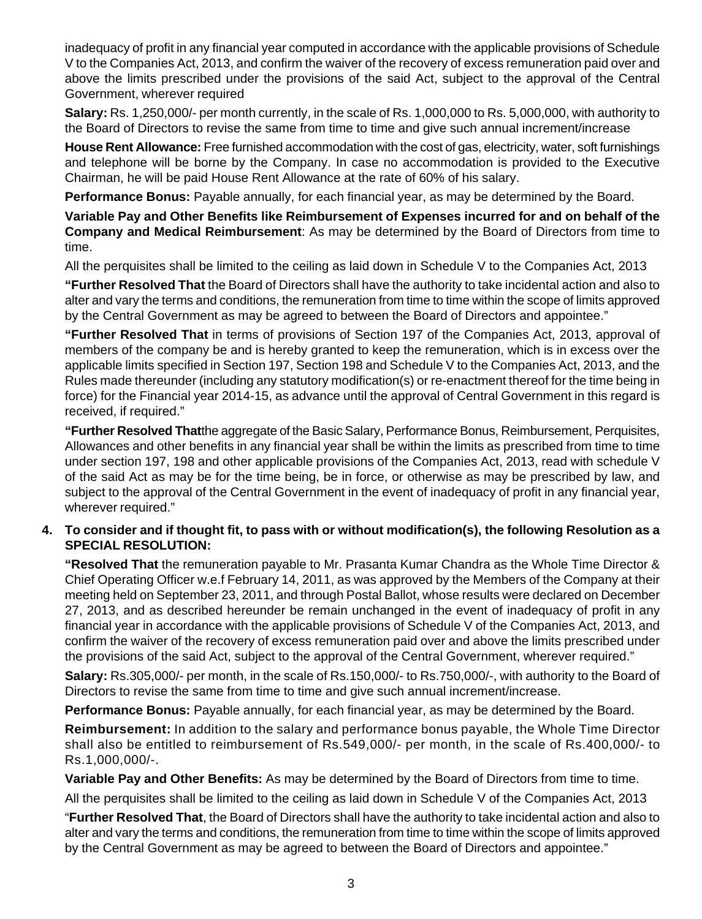inadequacy of profit in any financial year computed in accordance with the applicable provisions of Schedule V to the Companies Act, 2013, and confirm the waiver of the recovery of excess remuneration paid over and above the limits prescribed under the provisions of the said Act, subject to the approval of the Central Government, wherever required

**Salary:** Rs. 1,250,000/- per month currently, in the scale of Rs. 1,000,000 to Rs. 5,000,000, with authority to the Board of Directors to revise the same from time to time and give such annual increment/increase

**House Rent Allowance:** Free furnished accommodation with the cost of gas, electricity, water, soft furnishings and telephone will be borne by the Company. In case no accommodation is provided to the Executive Chairman, he will be paid House Rent Allowance at the rate of 60% of his salary.

**Performance Bonus:** Payable annually, for each financial year, as may be determined by the Board.

**Variable Pay and Other Benefits like Reimbursement of Expenses incurred for and on behalf of the Company and Medical Reimbursement**: As may be determined by the Board of Directors from time to time.

All the perquisites shall be limited to the ceiling as laid down in Schedule V to the Companies Act, 2013

**"Further Resolved That** the Board of Directors shall have the authority to take incidental action and also to alter and vary the terms and conditions, the remuneration from time to time within the scope of limits approved by the Central Government as may be agreed to between the Board of Directors and appointee."

**"Further Resolved That** in terms of provisions of Section 197 of the Companies Act, 2013, approval of members of the company be and is hereby granted to keep the remuneration, which is in excess over the applicable limits specified in Section 197, Section 198 and Schedule V to the Companies Act, 2013, and the Rules made thereunder (including any statutory modification(s) or re-enactment thereof for the time being in force) for the Financial year 2014-15, as advance until the approval of Central Government in this regard is received, if required."

**"Further Resolved That**the aggregate of the Basic Salary, Performance Bonus, Reimbursement, Perquisites, Allowances and other benefits in any financial year shall be within the limits as prescribed from time to time under section 197, 198 and other applicable provisions of the Companies Act, 2013, read with schedule V of the said Act as may be for the time being, be in force, or otherwise as may be prescribed by law, and subject to the approval of the Central Government in the event of inadequacy of profit in any financial year, wherever required."

## **4. To consider and if thought fit, to pass with or without modification(s), the following Resolution as a SPECIAL RESOLUTION:**

**"Resolved That** the remuneration payable to Mr. Prasanta Kumar Chandra as the Whole Time Director & Chief Operating Officer w.e.f February 14, 2011, as was approved by the Members of the Company at their meeting held on September 23, 2011, and through Postal Ballot, whose results were declared on December 27, 2013, and as described hereunder be remain unchanged in the event of inadequacy of profit in any financial year in accordance with the applicable provisions of Schedule V of the Companies Act, 2013, and confirm the waiver of the recovery of excess remuneration paid over and above the limits prescribed under the provisions of the said Act, subject to the approval of the Central Government, wherever required."

**Salary:** Rs.305,000/- per month, in the scale of Rs.150,000/- to Rs.750,000/-, with authority to the Board of Directors to revise the same from time to time and give such annual increment/increase.

**Performance Bonus:** Payable annually, for each financial year, as may be determined by the Board.

**Reimbursement:** In addition to the salary and performance bonus payable, the Whole Time Director shall also be entitled to reimbursement of Rs.549,000/- per month, in the scale of Rs.400,000/- to Rs.1,000,000/-.

**Variable Pay and Other Benefits:** As may be determined by the Board of Directors from time to time.

All the perquisites shall be limited to the ceiling as laid down in Schedule V of the Companies Act, 2013

"**Further Resolved That**, the Board of Directors shall have the authority to take incidental action and also to alter and vary the terms and conditions, the remuneration from time to time within the scope of limits approved by the Central Government as may be agreed to between the Board of Directors and appointee."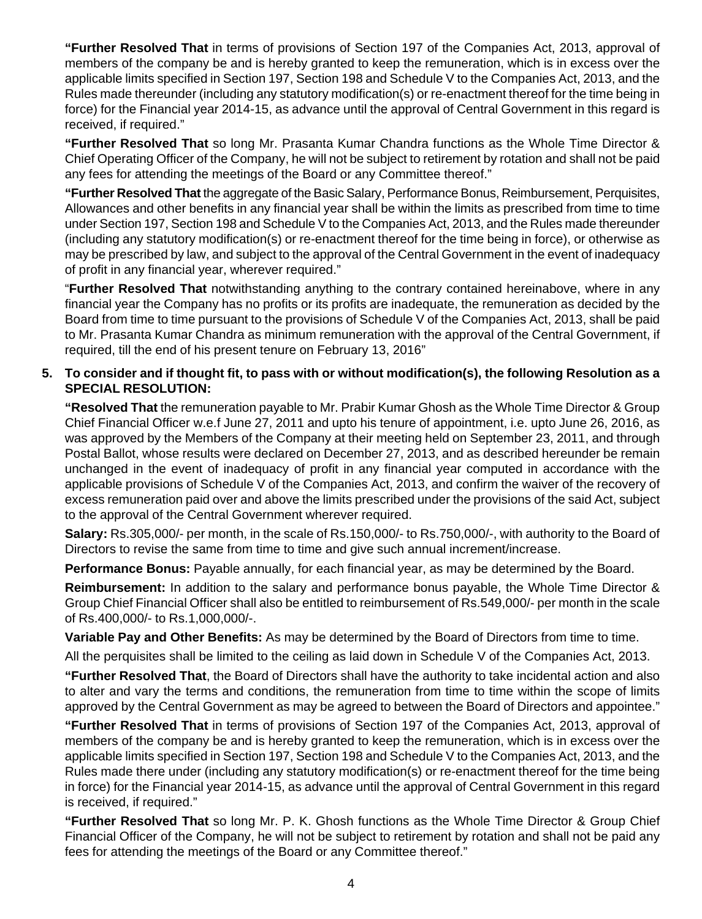**"Further Resolved That** in terms of provisions of Section 197 of the Companies Act, 2013, approval of members of the company be and is hereby granted to keep the remuneration, which is in excess over the applicable limits specified in Section 197, Section 198 and Schedule V to the Companies Act, 2013, and the Rules made thereunder (including any statutory modification(s) or re-enactment thereof for the time being in force) for the Financial year 2014-15, as advance until the approval of Central Government in this regard is received, if required."

**"Further Resolved That** so long Mr. Prasanta Kumar Chandra functions as the Whole Time Director & Chief Operating Officer of the Company, he will not be subject to retirement by rotation and shall not be paid any fees for attending the meetings of the Board or any Committee thereof."

**"Further Resolved That** the aggregate of the Basic Salary, Performance Bonus, Reimbursement, Perquisites, Allowances and other benefits in any financial year shall be within the limits as prescribed from time to time under Section 197, Section 198 and Schedule V to the Companies Act, 2013, and the Rules made thereunder (including any statutory modification(s) or re-enactment thereof for the time being in force), or otherwise as may be prescribed by law, and subject to the approval of the Central Government in the event of inadequacy of profit in any financial year, wherever required."

"**Further Resolved That** notwithstanding anything to the contrary contained hereinabove, where in any financial year the Company has no profits or its profits are inadequate, the remuneration as decided by the Board from time to time pursuant to the provisions of Schedule V of the Companies Act, 2013, shall be paid to Mr. Prasanta Kumar Chandra as minimum remuneration with the approval of the Central Government, if required, till the end of his present tenure on February 13, 2016"

## **5. To consider and if thought fit, to pass with or without modification(s), the following Resolution as a SPECIAL RESOLUTION:**

**"Resolved That** the remuneration payable to Mr. Prabir Kumar Ghosh as the Whole Time Director & Group Chief Financial Officer w.e.f June 27, 2011 and upto his tenure of appointment, i.e. upto June 26, 2016, as was approved by the Members of the Company at their meeting held on September 23, 2011, and through Postal Ballot, whose results were declared on December 27, 2013, and as described hereunder be remain unchanged in the event of inadequacy of profit in any financial year computed in accordance with the applicable provisions of Schedule V of the Companies Act, 2013, and confirm the waiver of the recovery of excess remuneration paid over and above the limits prescribed under the provisions of the said Act, subject to the approval of the Central Government wherever required.

**Salary:** Rs.305,000/- per month, in the scale of Rs.150,000/- to Rs.750,000/-, with authority to the Board of Directors to revise the same from time to time and give such annual increment/increase.

**Performance Bonus:** Payable annually, for each financial year, as may be determined by the Board.

**Reimbursement:** In addition to the salary and performance bonus payable, the Whole Time Director & Group Chief Financial Officer shall also be entitled to reimbursement of Rs.549,000/- per month in the scale of Rs.400,000/- to Rs.1,000,000/-.

**Variable Pay and Other Benefits:** As may be determined by the Board of Directors from time to time.

All the perquisites shall be limited to the ceiling as laid down in Schedule V of the Companies Act, 2013.

**"Further Resolved That**, the Board of Directors shall have the authority to take incidental action and also to alter and vary the terms and conditions, the remuneration from time to time within the scope of limits approved by the Central Government as may be agreed to between the Board of Directors and appointee."

**"Further Resolved That** in terms of provisions of Section 197 of the Companies Act, 2013, approval of members of the company be and is hereby granted to keep the remuneration, which is in excess over the applicable limits specified in Section 197, Section 198 and Schedule V to the Companies Act, 2013, and the Rules made there under (including any statutory modification(s) or re-enactment thereof for the time being in force) for the Financial year 2014-15, as advance until the approval of Central Government in this regard is received, if required."

**"Further Resolved That** so long Mr. P. K. Ghosh functions as the Whole Time Director & Group Chief Financial Officer of the Company, he will not be subject to retirement by rotation and shall not be paid any fees for attending the meetings of the Board or any Committee thereof."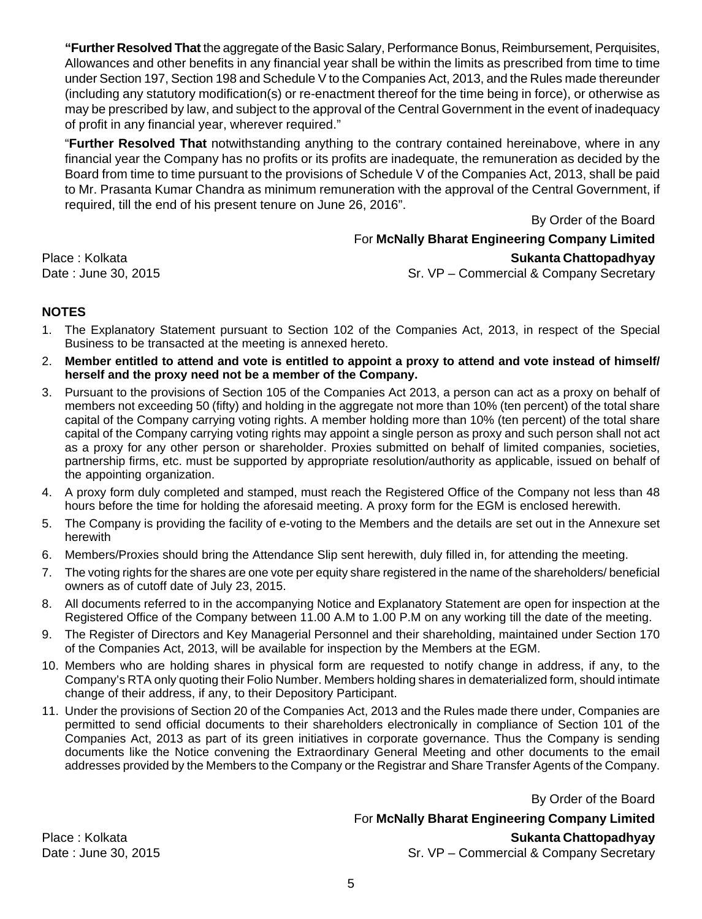**"Further Resolved That** the aggregate of the Basic Salary, Performance Bonus, Reimbursement, Perquisites, Allowances and other benefits in any financial year shall be within the limits as prescribed from time to time under Section 197, Section 198 and Schedule V to the Companies Act, 2013, and the Rules made thereunder (including any statutory modification(s) or re-enactment thereof for the time being in force), or otherwise as may be prescribed by law, and subject to the approval of the Central Government in the event of inadequacy of profit in any financial year, wherever required."

"**Further Resolved That** notwithstanding anything to the contrary contained hereinabove, where in any financial year the Company has no profits or its profits are inadequate, the remuneration as decided by the Board from time to time pursuant to the provisions of Schedule V of the Companies Act, 2013, shall be paid to Mr. Prasanta Kumar Chandra as minimum remuneration with the approval of the Central Government, if required, till the end of his present tenure on June 26, 2016".

By Order of the Board

For **McNally Bharat Engineering Company Limited** Place : Kolkata **Sukanta Chattopadhyay**

Date : June 30, 2015 Sr. VP – Commercial & Company Secretary

# **NOTES**

- 1. The Explanatory Statement pursuant to Section 102 of the Companies Act, 2013, in respect of the Special Business to be transacted at the meeting is annexed hereto.
- 2. **Member entitled to attend and vote is entitled to appoint a proxy to attend and vote instead of himself/ herself and the proxy need not be a member of the Company.**
- 3. Pursuant to the provisions of Section 105 of the Companies Act 2013, a person can act as a proxy on behalf of members not exceeding 50 (fifty) and holding in the aggregate not more than 10% (ten percent) of the total share capital of the Company carrying voting rights. A member holding more than 10% (ten percent) of the total share capital of the Company carrying voting rights may appoint a single person as proxy and such person shall not act as a proxy for any other person or shareholder. Proxies submitted on behalf of limited companies, societies, partnership firms, etc. must be supported by appropriate resolution/authority as applicable, issued on behalf of the appointing organization.
- 4. A proxy form duly completed and stamped, must reach the Registered Office of the Company not less than 48 hours before the time for holding the aforesaid meeting. A proxy form for the EGM is enclosed herewith.
- 5. The Company is providing the facility of e-voting to the Members and the details are set out in the Annexure set herewith
- 6. Members/Proxies should bring the Attendance Slip sent herewith, duly filled in, for attending the meeting.
- 7. The voting rights for the shares are one vote per equity share registered in the name of the shareholders/ beneficial owners as of cutoff date of July 23, 2015.
- 8. All documents referred to in the accompanying Notice and Explanatory Statement are open for inspection at the Registered Office of the Company between 11.00 A.M to 1.00 P.M on any working till the date of the meeting.
- 9. The Register of Directors and Key Managerial Personnel and their shareholding, maintained under Section 170 of the Companies Act, 2013, will be available for inspection by the Members at the EGM.
- 10. Members who are holding shares in physical form are requested to notify change in address, if any, to the Company's RTA only quoting their Folio Number. Members holding shares in dematerialized form, should intimate change of their address, if any, to their Depository Participant.
- 11. Under the provisions of Section 20 of the Companies Act, 2013 and the Rules made there under, Companies are permitted to send official documents to their shareholders electronically in compliance of Section 101 of the Companies Act, 2013 as part of its green initiatives in corporate governance. Thus the Company is sending documents like the Notice convening the Extraordinary General Meeting and other documents to the email addresses provided by the Members to the Company or the Registrar and Share Transfer Agents of the Company.

By Order of the Board

For **McNally Bharat Engineering Company Limited**

Place : Kolkata **Sukanta Chattopadhyay** Date : June 30, 2015 Sr. VP – Commercial & Company Secretary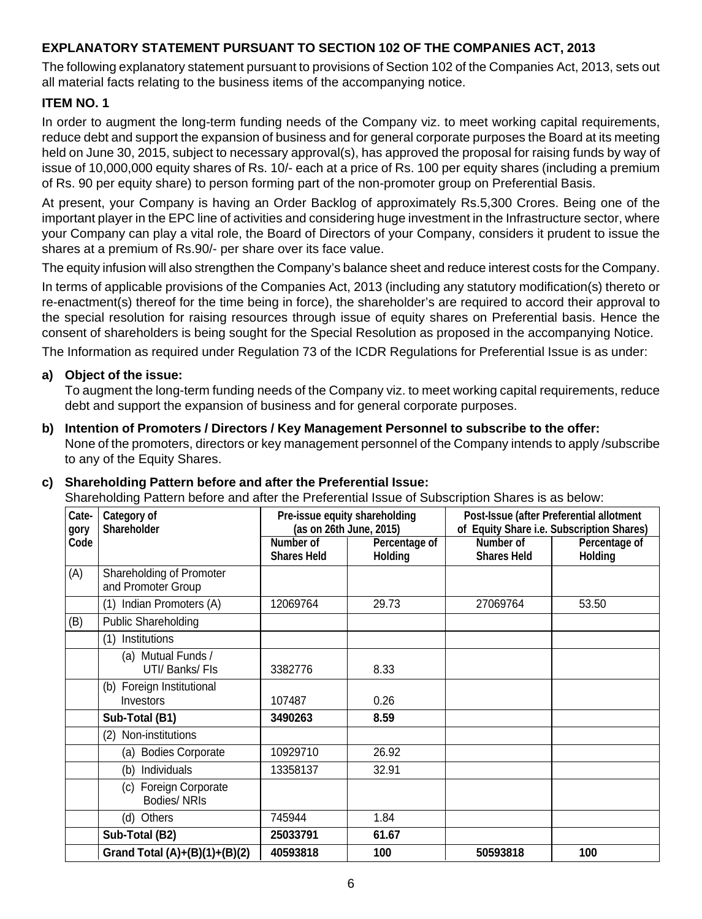# **EXPLANATORY STATEMENT PURSUANT TO SECTION 102 OF THE COMPANIES ACT, 2013**

The following explanatory statement pursuant to provisions of Section 102 of the Companies Act, 2013, sets out all material facts relating to the business items of the accompanying notice.

## **ITEM NO. 1**

In order to augment the long-term funding needs of the Company viz. to meet working capital requirements, reduce debt and support the expansion of business and for general corporate purposes the Board at its meeting held on June 30, 2015, subject to necessary approval(s), has approved the proposal for raising funds by way of issue of 10,000,000 equity shares of Rs. 10/- each at a price of Rs. 100 per equity shares (including a premium of Rs. 90 per equity share) to person forming part of the non-promoter group on Preferential Basis.

At present, your Company is having an Order Backlog of approximately Rs.5,300 Crores. Being one of the important player in the EPC line of activities and considering huge investment in the Infrastructure sector, where your Company can play a vital role, the Board of Directors of your Company, considers it prudent to issue the shares at a premium of Rs.90/- per share over its face value.

The equity infusion will also strengthen the Company's balance sheet and reduce interest costs for the Company.

In terms of applicable provisions of the Companies Act, 2013 (including any statutory modification(s) thereto or re-enactment(s) thereof for the time being in force), the shareholder's are required to accord their approval to the special resolution for raising resources through issue of equity shares on Preferential basis. Hence the consent of shareholders is being sought for the Special Resolution as proposed in the accompanying Notice.

The Information as required under Regulation 73 of the ICDR Regulations for Preferential Issue is as under:

### **a) Object of the issue:**

To augment the long-term funding needs of the Company viz. to meet working capital requirements, reduce debt and support the expansion of business and for general corporate purposes.

**b) Intention of Promoters / Directors / Key Management Personnel to subscribe to the offer:** None of the promoters, directors or key management personnel of the Company intends to apply /subscribe to any of the Equity Shares.

### **c) Shareholding Pattern before and after the Preferential Issue:**

Shareholding Pattern before and after the Preferential Issue of Subscription Shares is as below:

| Cate-<br>gory | Category of<br><b>Shareholder</b>              |                                 | Pre-issue equity shareholding<br>(as on 26th June, 2015) |                                 | Post-Issue (after Preferential allotment<br>of Equity Share i.e. Subscription Shares) |
|---------------|------------------------------------------------|---------------------------------|----------------------------------------------------------|---------------------------------|---------------------------------------------------------------------------------------|
| Code          |                                                | Number of<br><b>Shares Held</b> | Percentage of<br><b>Holding</b>                          | Number of<br><b>Shares Held</b> | Percentage of<br>Holding                                                              |
| (A)           | Shareholding of Promoter<br>and Promoter Group |                                 |                                                          |                                 |                                                                                       |
|               | (1) Indian Promoters (A)                       | 12069764                        | 29.73                                                    | 27069764                        | 53.50                                                                                 |
| (B)           | Public Shareholding                            |                                 |                                                          |                                 |                                                                                       |
|               | (1) Institutions                               |                                 |                                                          |                                 |                                                                                       |
|               | (a) Mutual Funds /<br>UTI/ Banks/ Fls          | 3382776                         | 8.33                                                     |                                 |                                                                                       |
|               | (b) Foreign Institutional<br>Investors         | 107487                          | 0.26                                                     |                                 |                                                                                       |
|               | Sub-Total (B1)                                 | 3490263                         | 8.59                                                     |                                 |                                                                                       |
|               | (2) Non-institutions                           |                                 |                                                          |                                 |                                                                                       |
|               | (a) Bodies Corporate                           | 10929710                        | 26.92                                                    |                                 |                                                                                       |
|               | Individuals<br>(b)                             | 13358137                        | 32.91                                                    |                                 |                                                                                       |
|               | Foreign Corporate<br>(C)<br>Bodies/NRIs        |                                 |                                                          |                                 |                                                                                       |
|               | (d) Others                                     | 745944                          | 1.84                                                     |                                 |                                                                                       |
|               | Sub-Total (B2)                                 | 25033791                        | 61.67                                                    |                                 |                                                                                       |
|               | Grand Total (A)+(B)(1)+(B)(2)                  | 40593818                        | 100                                                      | 50593818                        | 100                                                                                   |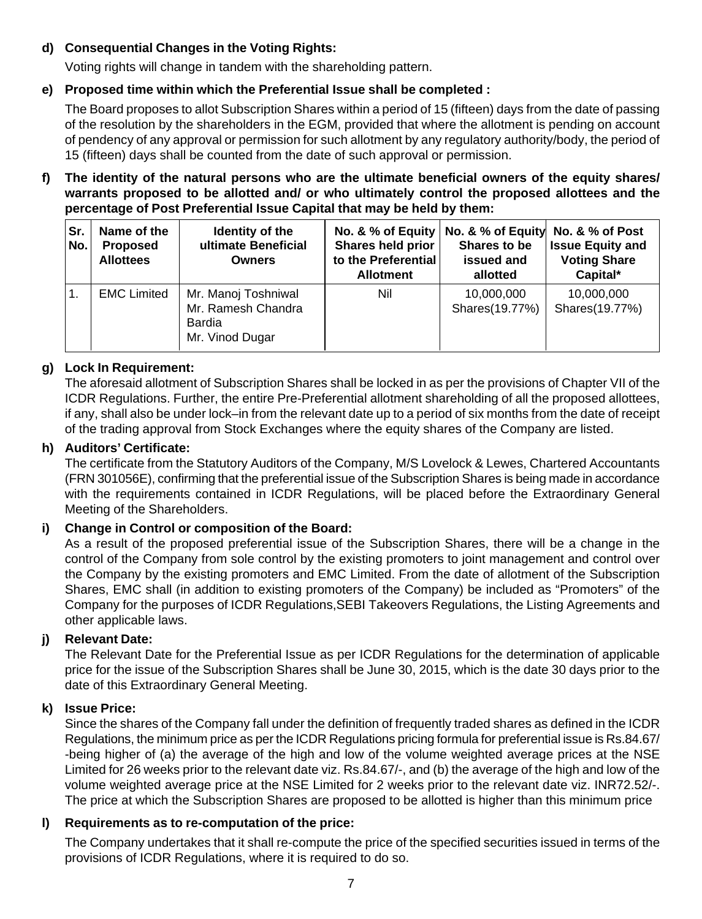# **d) Consequential Changes in the Voting Rights:**

Voting rights will change in tandem with the shareholding pattern.

# **e) Proposed time within which the Preferential Issue shall be completed :**

The Board proposes to allot Subscription Shares within a period of 15 (fifteen) days from the date of passing of the resolution by the shareholders in the EGM, provided that where the allotment is pending on account of pendency of any approval or permission for such allotment by any regulatory authority/body, the period of 15 (fifteen) days shall be counted from the date of such approval or permission.

### **f) The identity of the natural persons who are the ultimate beneficial owners of the equity shares/ warrants proposed to be allotted and/ or who ultimately control the proposed allottees and the percentage of Post Preferential Issue Capital that may be held by them:**

| ∣Sr.<br>l No.  | Name of the<br><b>Proposed</b><br><b>Allottees</b> | Identity of the<br>ultimate Beneficial<br><b>Owners</b>                | No. & % of Equity<br>Shares held prior<br>to the Preferential<br><b>Allotment</b> | No. & % of Equity No. & % of Post<br>Shares to be<br>issued and<br>allotted | <b>Issue Equity and</b><br><b>Voting Share</b><br>Capital* |
|----------------|----------------------------------------------------|------------------------------------------------------------------------|-----------------------------------------------------------------------------------|-----------------------------------------------------------------------------|------------------------------------------------------------|
| $\mathbf{1}$ . | <b>EMC Limited</b>                                 | Mr. Manoj Toshniwal<br>Mr. Ramesh Chandra<br>Bardia<br>Mr. Vinod Dugar | Nil                                                                               | 10,000,000<br>Shares(19.77%)                                                | 10,000,000<br>Shares(19.77%)                               |

## **g) Lock In Requirement:**

The aforesaid allotment of Subscription Shares shall be locked in as per the provisions of Chapter VII of the ICDR Regulations. Further, the entire Pre-Preferential allotment shareholding of all the proposed allottees, if any, shall also be under lock–in from the relevant date up to a period of six months from the date of receipt of the trading approval from Stock Exchanges where the equity shares of the Company are listed.

### **h) Auditors' Certificate:**

The certificate from the Statutory Auditors of the Company, M/S Lovelock & Lewes, Chartered Accountants (FRN 301056E), confirming that the preferential issue of the Subscription Shares is being made in accordance with the requirements contained in ICDR Regulations, will be placed before the Extraordinary General Meeting of the Shareholders.

### **i) Change in Control or composition of the Board:**

As a result of the proposed preferential issue of the Subscription Shares, there will be a change in the control of the Company from sole control by the existing promoters to joint management and control over the Company by the existing promoters and EMC Limited. From the date of allotment of the Subscription Shares, EMC shall (in addition to existing promoters of the Company) be included as "Promoters" of the Company for the purposes of ICDR Regulations,SEBI Takeovers Regulations, the Listing Agreements and other applicable laws.

### **j) Relevant Date:**

The Relevant Date for the Preferential Issue as per ICDR Regulations for the determination of applicable price for the issue of the Subscription Shares shall be June 30, 2015, which is the date 30 days prior to the date of this Extraordinary General Meeting.

### **k) Issue Price:**

Since the shares of the Company fall under the definition of frequently traded shares as defined in the ICDR Regulations, the minimum price as per the ICDR Regulations pricing formula for preferential issue is Rs.84.67/ -being higher of (a) the average of the high and low of the volume weighted average prices at the NSE Limited for 26 weeks prior to the relevant date viz. Rs.84.67/-, and (b) the average of the high and low of the volume weighted average price at the NSE Limited for 2 weeks prior to the relevant date viz. INR72.52/-. The price at which the Subscription Shares are proposed to be allotted is higher than this minimum price

### **l) Requirements as to re-computation of the price:**

The Company undertakes that it shall re-compute the price of the specified securities issued in terms of the provisions of ICDR Regulations, where it is required to do so.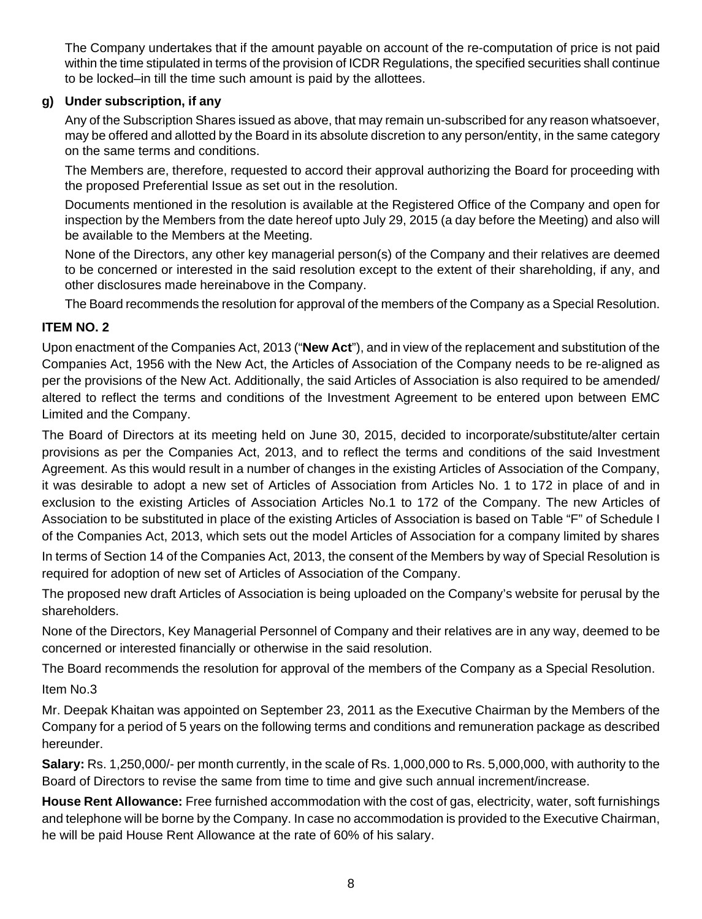The Company undertakes that if the amount payable on account of the re-computation of price is not paid within the time stipulated in terms of the provision of ICDR Regulations, the specified securities shall continue to be locked–in till the time such amount is paid by the allottees.

## **g) Under subscription, if any**

Any of the Subscription Shares issued as above, that may remain un-subscribed for any reason whatsoever, may be offered and allotted by the Board in its absolute discretion to any person/entity, in the same category on the same terms and conditions.

The Members are, therefore, requested to accord their approval authorizing the Board for proceeding with the proposed Preferential Issue as set out in the resolution.

Documents mentioned in the resolution is available at the Registered Office of the Company and open for inspection by the Members from the date hereof upto July 29, 2015 (a day before the Meeting) and also will be available to the Members at the Meeting.

None of the Directors, any other key managerial person(s) of the Company and their relatives are deemed to be concerned or interested in the said resolution except to the extent of their shareholding, if any, and other disclosures made hereinabove in the Company.

The Board recommends the resolution for approval of the members of the Company as a Special Resolution.

# **ITEM NO. 2**

Upon enactment of the Companies Act, 2013 ("**New Act**"), and in view of the replacement and substitution of the Companies Act, 1956 with the New Act, the Articles of Association of the Company needs to be re-aligned as per the provisions of the New Act. Additionally, the said Articles of Association is also required to be amended/ altered to reflect the terms and conditions of the Investment Agreement to be entered upon between EMC Limited and the Company.

The Board of Directors at its meeting held on June 30, 2015, decided to incorporate/substitute/alter certain provisions as per the Companies Act, 2013, and to reflect the terms and conditions of the said Investment Agreement. As this would result in a number of changes in the existing Articles of Association of the Company, it was desirable to adopt a new set of Articles of Association from Articles No. 1 to 172 in place of and in exclusion to the existing Articles of Association Articles No.1 to 172 of the Company. The new Articles of Association to be substituted in place of the existing Articles of Association is based on Table "F" of Schedule I of the Companies Act, 2013, which sets out the model Articles of Association for a company limited by shares

In terms of Section 14 of the Companies Act, 2013, the consent of the Members by way of Special Resolution is required for adoption of new set of Articles of Association of the Company.

The proposed new draft Articles of Association is being uploaded on the Company's website for perusal by the shareholders.

None of the Directors, Key Managerial Personnel of Company and their relatives are in any way, deemed to be concerned or interested financially or otherwise in the said resolution.

The Board recommends the resolution for approval of the members of the Company as a Special Resolution. Item No.3

Mr. Deepak Khaitan was appointed on September 23, 2011 as the Executive Chairman by the Members of the Company for a period of 5 years on the following terms and conditions and remuneration package as described hereunder.

**Salary:** Rs. 1,250,000/- per month currently, in the scale of Rs. 1,000,000 to Rs. 5,000,000, with authority to the Board of Directors to revise the same from time to time and give such annual increment/increase.

**House Rent Allowance:** Free furnished accommodation with the cost of gas, electricity, water, soft furnishings and telephone will be borne by the Company. In case no accommodation is provided to the Executive Chairman, he will be paid House Rent Allowance at the rate of 60% of his salary.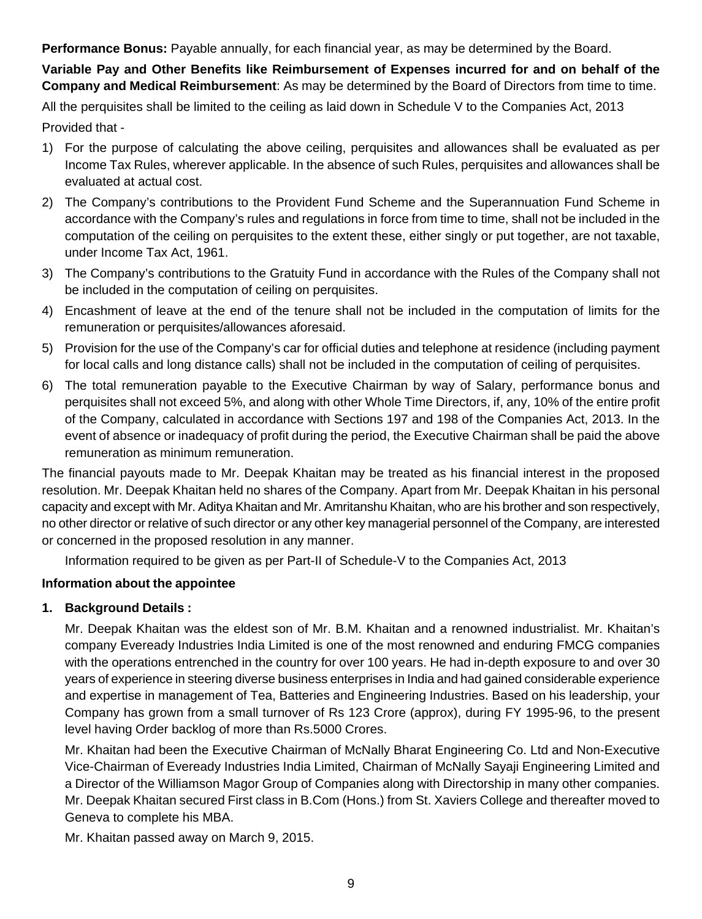**Performance Bonus:** Payable annually, for each financial year, as may be determined by the Board.

**Variable Pay and Other Benefits like Reimbursement of Expenses incurred for and on behalf of the Company and Medical Reimbursement**: As may be determined by the Board of Directors from time to time.

All the perquisites shall be limited to the ceiling as laid down in Schedule V to the Companies Act, 2013 Provided that -

- 1) For the purpose of calculating the above ceiling, perquisites and allowances shall be evaluated as per Income Tax Rules, wherever applicable. In the absence of such Rules, perquisites and allowances shall be evaluated at actual cost.
- 2) The Company's contributions to the Provident Fund Scheme and the Superannuation Fund Scheme in accordance with the Company's rules and regulations in force from time to time, shall not be included in the computation of the ceiling on perquisites to the extent these, either singly or put together, are not taxable, under Income Tax Act, 1961.
- 3) The Company's contributions to the Gratuity Fund in accordance with the Rules of the Company shall not be included in the computation of ceiling on perquisites.
- 4) Encashment of leave at the end of the tenure shall not be included in the computation of limits for the remuneration or perquisites/allowances aforesaid.
- 5) Provision for the use of the Company's car for official duties and telephone at residence (including payment for local calls and long distance calls) shall not be included in the computation of ceiling of perquisites.
- 6) The total remuneration payable to the Executive Chairman by way of Salary, performance bonus and perquisites shall not exceed 5%, and along with other Whole Time Directors, if, any, 10% of the entire profit of the Company, calculated in accordance with Sections 197 and 198 of the Companies Act, 2013. In the event of absence or inadequacy of profit during the period, the Executive Chairman shall be paid the above remuneration as minimum remuneration.

The financial payouts made to Mr. Deepak Khaitan may be treated as his financial interest in the proposed resolution. Mr. Deepak Khaitan held no shares of the Company. Apart from Mr. Deepak Khaitan in his personal capacity and except with Mr. Aditya Khaitan and Mr. Amritanshu Khaitan, who are his brother and son respectively, no other director or relative of such director or any other key managerial personnel of the Company, are interested or concerned in the proposed resolution in any manner.

Information required to be given as per Part-II of Schedule-V to the Companies Act, 2013

# **Information about the appointee**

# **1. Background Details :**

Mr. Deepak Khaitan was the eldest son of Mr. B.M. Khaitan and a renowned industrialist. Mr. Khaitan's company Eveready Industries India Limited is one of the most renowned and enduring FMCG companies with the operations entrenched in the country for over 100 years. He had in-depth exposure to and over 30 years of experience in steering diverse business enterprises in India and had gained considerable experience and expertise in management of Tea, Batteries and Engineering Industries. Based on his leadership, your Company has grown from a small turnover of Rs 123 Crore (approx), during FY 1995-96, to the present level having Order backlog of more than Rs.5000 Crores.

Mr. Khaitan had been the Executive Chairman of McNally Bharat Engineering Co. Ltd and Non-Executive Vice-Chairman of Eveready Industries India Limited, Chairman of McNally Sayaji Engineering Limited and a Director of the Williamson Magor Group of Companies along with Directorship in many other companies. Mr. Deepak Khaitan secured First class in B.Com (Hons.) from St. Xaviers College and thereafter moved to Geneva to complete his MBA.

Mr. Khaitan passed away on March 9, 2015.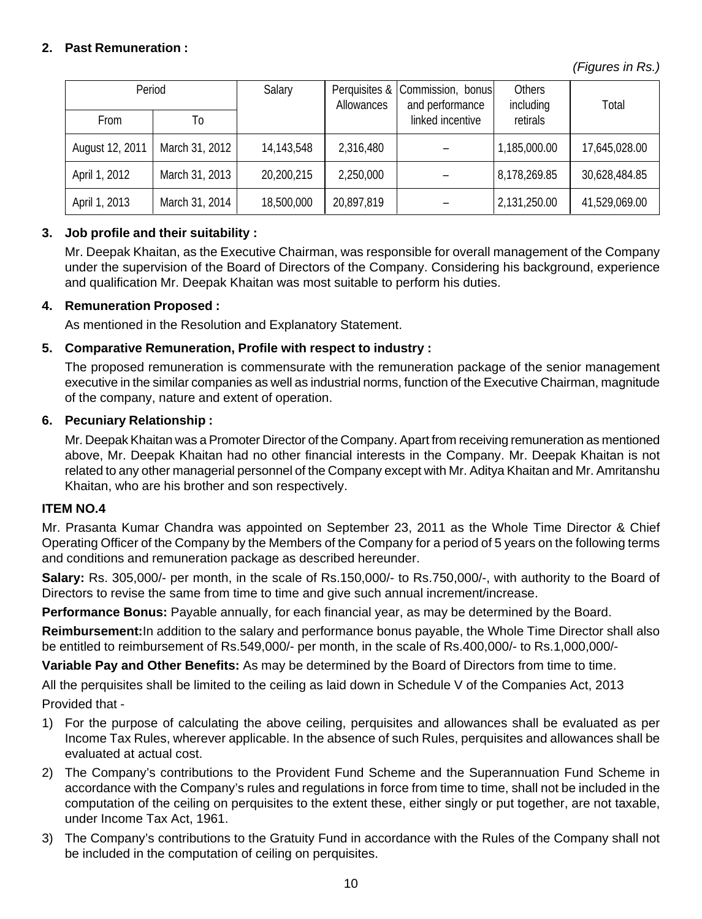# **2. Past Remuneration :**

*(Figures in Rs.)*

| Period          |                | Salary       | Allowances | Perquisites & Commission, bonus<br>and performance | Others<br>including | Total         |
|-----------------|----------------|--------------|------------|----------------------------------------------------|---------------------|---------------|
| From            | Т٥             |              |            | linked incentive                                   | retirals            |               |
| August 12, 2011 | March 31, 2012 | 14, 143, 548 | 2,316,480  |                                                    | 1,185,000.00        | 17,645,028.00 |
| April 1, 2012   | March 31, 2013 | 20,200,215   | 2,250,000  |                                                    | 8,178,269.85        | 30,628,484.85 |
| April 1, 2013   | March 31, 2014 | 18,500,000   | 20,897,819 |                                                    | 2,131,250.00        | 41,529,069.00 |

## **3. Job profile and their suitability :**

Mr. Deepak Khaitan, as the Executive Chairman, was responsible for overall management of the Company under the supervision of the Board of Directors of the Company. Considering his background, experience and qualification Mr. Deepak Khaitan was most suitable to perform his duties.

### **4. Remuneration Proposed :**

As mentioned in the Resolution and Explanatory Statement.

### **5. Comparative Remuneration, Profile with respect to industry :**

The proposed remuneration is commensurate with the remuneration package of the senior management executive in the similar companies as well as industrial norms, function of the Executive Chairman, magnitude of the company, nature and extent of operation.

#### **6. Pecuniary Relationship :**

Mr. Deepak Khaitan was a Promoter Director of the Company. Apart from receiving remuneration as mentioned above, Mr. Deepak Khaitan had no other financial interests in the Company. Mr. Deepak Khaitan is not related to any other managerial personnel of the Company except with Mr. Aditya Khaitan and Mr. Amritanshu Khaitan, who are his brother and son respectively.

#### **ITEM NO.4**

Mr. Prasanta Kumar Chandra was appointed on September 23, 2011 as the Whole Time Director & Chief Operating Officer of the Company by the Members of the Company for a period of 5 years on the following terms and conditions and remuneration package as described hereunder.

**Salary:** Rs. 305,000/- per month, in the scale of Rs.150,000/- to Rs.750,000/-, with authority to the Board of Directors to revise the same from time to time and give such annual increment/increase.

**Performance Bonus:** Payable annually, for each financial year, as may be determined by the Board.

**Reimbursement:**In addition to the salary and performance bonus payable, the Whole Time Director shall also be entitled to reimbursement of Rs.549,000/- per month, in the scale of Rs.400,000/- to Rs.1,000,000/-

**Variable Pay and Other Benefits:** As may be determined by the Board of Directors from time to time.

All the perquisites shall be limited to the ceiling as laid down in Schedule V of the Companies Act, 2013 Provided that -

- 1) For the purpose of calculating the above ceiling, perquisites and allowances shall be evaluated as per Income Tax Rules, wherever applicable. In the absence of such Rules, perquisites and allowances shall be evaluated at actual cost.
- 2) The Company's contributions to the Provident Fund Scheme and the Superannuation Fund Scheme in accordance with the Company's rules and regulations in force from time to time, shall not be included in the computation of the ceiling on perquisites to the extent these, either singly or put together, are not taxable, under Income Tax Act, 1961.
- 3) The Company's contributions to the Gratuity Fund in accordance with the Rules of the Company shall not be included in the computation of ceiling on perquisites.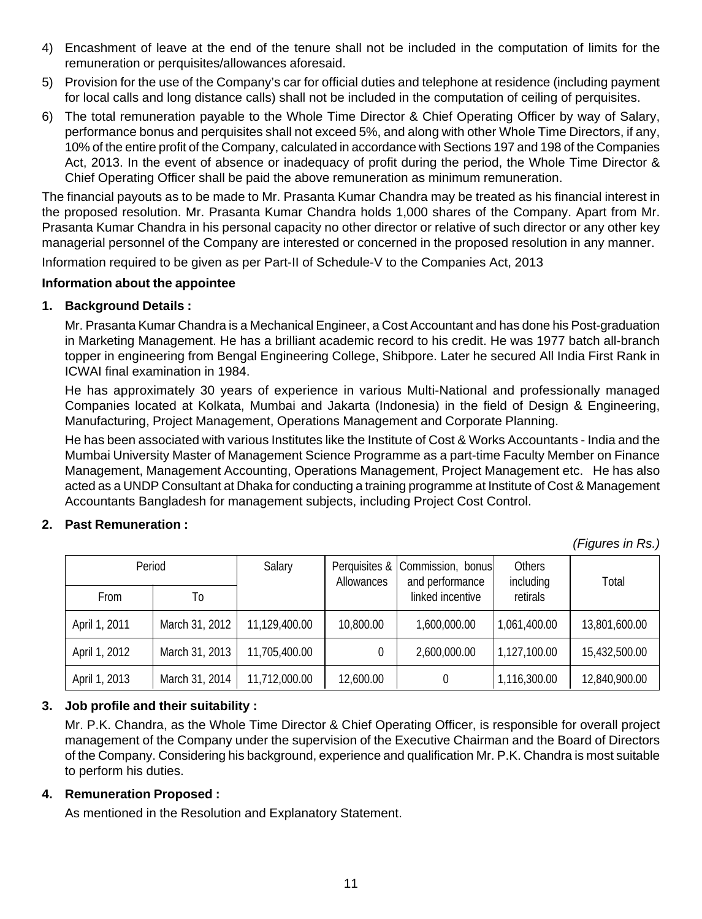- 4) Encashment of leave at the end of the tenure shall not be included in the computation of limits for the remuneration or perquisites/allowances aforesaid.
- 5) Provision for the use of the Company's car for official duties and telephone at residence (including payment for local calls and long distance calls) shall not be included in the computation of ceiling of perquisites.
- 6) The total remuneration payable to the Whole Time Director & Chief Operating Officer by way of Salary, performance bonus and perquisites shall not exceed 5%, and along with other Whole Time Directors, if any, 10% of the entire profit of the Company, calculated in accordance with Sections 197 and 198 of the Companies Act, 2013. In the event of absence or inadequacy of profit during the period, the Whole Time Director & Chief Operating Officer shall be paid the above remuneration as minimum remuneration.

The financial payouts as to be made to Mr. Prasanta Kumar Chandra may be treated as his financial interest in the proposed resolution. Mr. Prasanta Kumar Chandra holds 1,000 shares of the Company. Apart from Mr. Prasanta Kumar Chandra in his personal capacity no other director or relative of such director or any other key managerial personnel of the Company are interested or concerned in the proposed resolution in any manner. Information required to be given as per Part-II of Schedule-V to the Companies Act, 2013

### **Information about the appointee**

## **1. Background Details :**

Mr. Prasanta Kumar Chandra is a Mechanical Engineer, a Cost Accountant and has done his Post-graduation in Marketing Management. He has a brilliant academic record to his credit. He was 1977 batch all-branch topper in engineering from Bengal Engineering College, Shibpore. Later he secured All India First Rank in ICWAI final examination in 1984.

He has approximately 30 years of experience in various Multi-National and professionally managed Companies located at Kolkata, Mumbai and Jakarta (Indonesia) in the field of Design & Engineering, Manufacturing, Project Management, Operations Management and Corporate Planning.

He has been associated with various Institutes like the Institute of Cost & Works Accountants - India and the Mumbai University Master of Management Science Programme as a part-time Faculty Member on Finance Management, Management Accounting, Operations Management, Project Management etc. He has also acted as a UNDP Consultant at Dhaka for conducting a training programme at Institute of Cost & Management Accountants Bangladesh for management subjects, including Project Cost Control.

### **2. Past Remuneration :**

*(Figures in Rs.)*

| Period        |                | Salary        | Perquisites &  <br>Allowances | Commission, bonus<br>and performance | Others<br>including | Total         |
|---------------|----------------|---------------|-------------------------------|--------------------------------------|---------------------|---------------|
| From          | Т٥             |               |                               | linked incentive                     | retirals            |               |
| April 1, 2011 | March 31, 2012 | 11.129.400.00 | 10,800,00                     | 1,600,000.00                         | 1,061,400.00        | 13,801,600.00 |
| April 1, 2012 | March 31, 2013 | 11,705,400.00 | 0                             | 2,600,000.00                         | 1,127,100.00        | 15,432,500.00 |
| April 1, 2013 | March 31, 2014 | 11,712,000.00 | 12,600.00                     | 0                                    | 1,116,300.00        | 12,840,900.00 |

# **3. Job profile and their suitability :**

Mr. P.K. Chandra, as the Whole Time Director & Chief Operating Officer, is responsible for overall project management of the Company under the supervision of the Executive Chairman and the Board of Directors of the Company. Considering his background, experience and qualification Mr. P.K. Chandra is most suitable to perform his duties.

### **4. Remuneration Proposed :**

As mentioned in the Resolution and Explanatory Statement.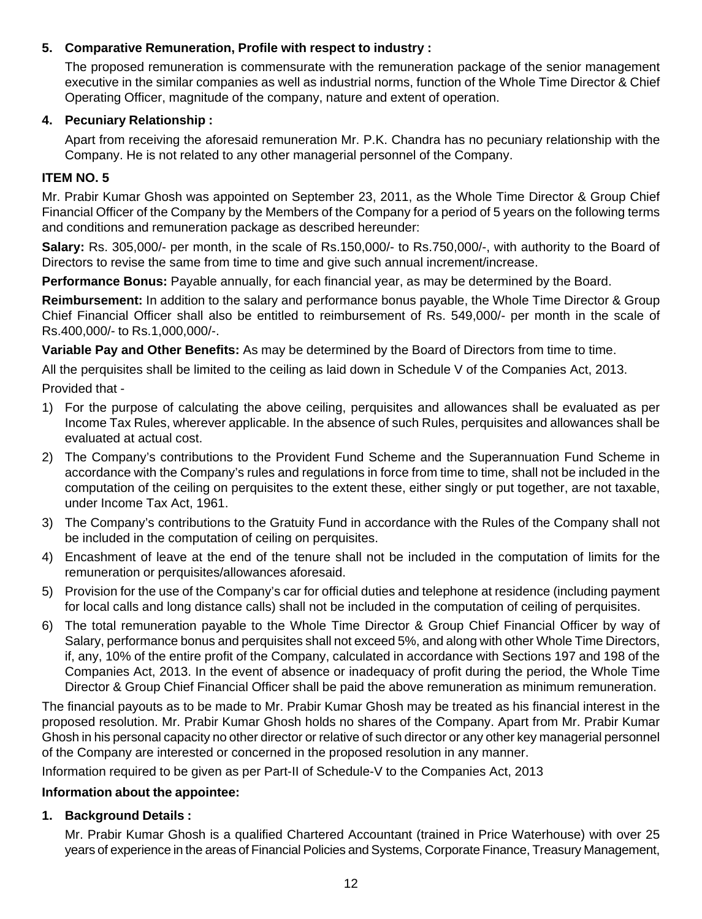## **5. Comparative Remuneration, Profile with respect to industry :**

The proposed remuneration is commensurate with the remuneration package of the senior management executive in the similar companies as well as industrial norms, function of the Whole Time Director & Chief Operating Officer, magnitude of the company, nature and extent of operation.

## **4. Pecuniary Relationship :**

Apart from receiving the aforesaid remuneration Mr. P.K. Chandra has no pecuniary relationship with the Company. He is not related to any other managerial personnel of the Company.

## **ITEM NO. 5**

Mr. Prabir Kumar Ghosh was appointed on September 23, 2011, as the Whole Time Director & Group Chief Financial Officer of the Company by the Members of the Company for a period of 5 years on the following terms and conditions and remuneration package as described hereunder:

**Salary:** Rs. 305,000/- per month, in the scale of Rs.150,000/- to Rs.750,000/-, with authority to the Board of Directors to revise the same from time to time and give such annual increment/increase.

**Performance Bonus:** Payable annually, for each financial year, as may be determined by the Board.

**Reimbursement:** In addition to the salary and performance bonus payable, the Whole Time Director & Group Chief Financial Officer shall also be entitled to reimbursement of Rs. 549,000/- per month in the scale of Rs.400,000/- to Rs.1,000,000/-.

**Variable Pay and Other Benefits:** As may be determined by the Board of Directors from time to time.

All the perquisites shall be limited to the ceiling as laid down in Schedule V of the Companies Act, 2013. Provided that -

- 1) For the purpose of calculating the above ceiling, perquisites and allowances shall be evaluated as per Income Tax Rules, wherever applicable. In the absence of such Rules, perquisites and allowances shall be evaluated at actual cost.
- 2) The Company's contributions to the Provident Fund Scheme and the Superannuation Fund Scheme in accordance with the Company's rules and regulations in force from time to time, shall not be included in the computation of the ceiling on perquisites to the extent these, either singly or put together, are not taxable, under Income Tax Act, 1961.
- 3) The Company's contributions to the Gratuity Fund in accordance with the Rules of the Company shall not be included in the computation of ceiling on perquisites.
- 4) Encashment of leave at the end of the tenure shall not be included in the computation of limits for the remuneration or perquisites/allowances aforesaid.
- 5) Provision for the use of the Company's car for official duties and telephone at residence (including payment for local calls and long distance calls) shall not be included in the computation of ceiling of perquisites.
- 6) The total remuneration payable to the Whole Time Director & Group Chief Financial Officer by way of Salary, performance bonus and perquisites shall not exceed 5%, and along with other Whole Time Directors, if, any, 10% of the entire profit of the Company, calculated in accordance with Sections 197 and 198 of the Companies Act, 2013. In the event of absence or inadequacy of profit during the period, the Whole Time Director & Group Chief Financial Officer shall be paid the above remuneration as minimum remuneration.

The financial payouts as to be made to Mr. Prabir Kumar Ghosh may be treated as his financial interest in the proposed resolution. Mr. Prabir Kumar Ghosh holds no shares of the Company. Apart from Mr. Prabir Kumar Ghosh in his personal capacity no other director or relative of such director or any other key managerial personnel of the Company are interested or concerned in the proposed resolution in any manner.

Information required to be given as per Part-II of Schedule-V to the Companies Act, 2013

### **Information about the appointee:**

### **1. Background Details :**

Mr. Prabir Kumar Ghosh is a qualified Chartered Accountant (trained in Price Waterhouse) with over 25 years of experience in the areas of Financial Policies and Systems, Corporate Finance, Treasury Management,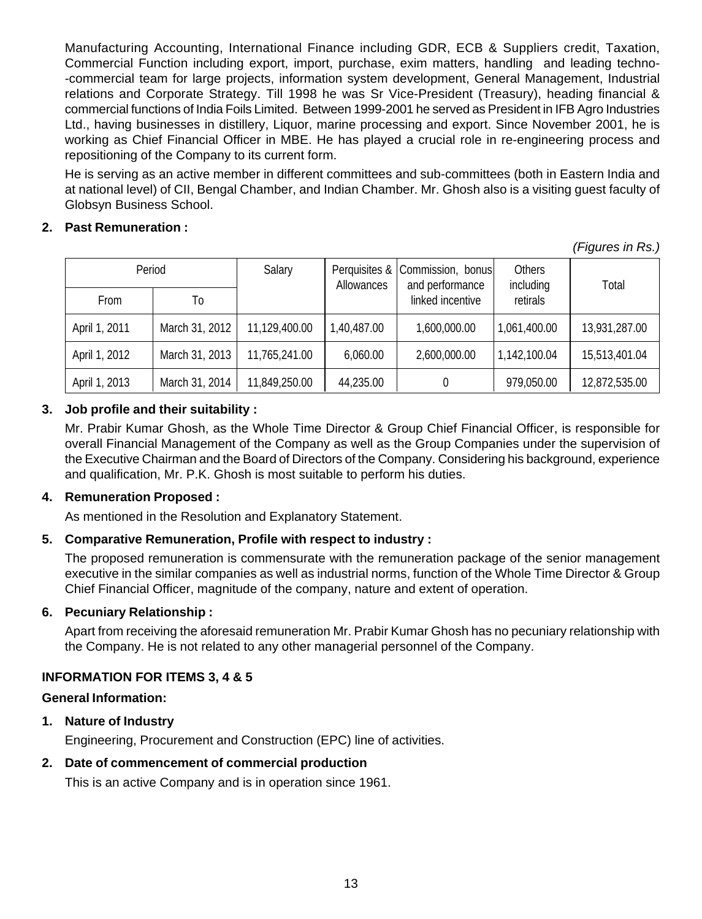Manufacturing Accounting, International Finance including GDR, ECB & Suppliers credit, Taxation, Commercial Function including export, import, purchase, exim matters, handling and leading techno- -commercial team for large projects, information system development, General Management, Industrial relations and Corporate Strategy. Till 1998 he was Sr Vice-President (Treasury), heading financial & commercial functions of India Foils Limited. Between 1999-2001 he served as President in IFB Agro Industries Ltd., having businesses in distillery, Liquor, marine processing and export. Since November 2001, he is working as Chief Financial Officer in MBE. He has played a crucial role in re-engineering process and repositioning of the Company to its current form.

He is serving as an active member in different committees and sub-committees (both in Eastern India and at national level) of CII, Bengal Chamber, and Indian Chamber. Mr. Ghosh also is a visiting guest faculty of Globsyn Business School.

## **2. Past Remuneration :**

*(Figures in Rs.)*

| Period        |                | Salary        | Allowances  | Perquisites &   Commission, bonus <br>and performance | Others<br>including | Total         |
|---------------|----------------|---------------|-------------|-------------------------------------------------------|---------------------|---------------|
| <b>From</b>   | To             |               |             | linked incentive                                      | retirals            |               |
| April 1, 2011 | March 31, 2012 | 11,129,400.00 | 1,40,487.00 | 1,600,000.00                                          | 1,061,400.00        | 13,931,287.00 |
| April 1, 2012 | March 31, 2013 | 11,765,241.00 | 6.060.00    | 2,600,000.00                                          | 1,142,100.04        | 15,513,401.04 |
| April 1, 2013 | March 31, 2014 | 11,849,250.00 | 44,235.00   |                                                       | 979,050.00          | 12,872,535.00 |

# **3. Job profile and their suitability :**

Mr. Prabir Kumar Ghosh, as the Whole Time Director & Group Chief Financial Officer, is responsible for overall Financial Management of the Company as well as the Group Companies under the supervision of the Executive Chairman and the Board of Directors of the Company. Considering his background, experience and qualification, Mr. P.K. Ghosh is most suitable to perform his duties.

### **4. Remuneration Proposed :**

As mentioned in the Resolution and Explanatory Statement.

# **5. Comparative Remuneration, Profile with respect to industry :**

The proposed remuneration is commensurate with the remuneration package of the senior management executive in the similar companies as well as industrial norms, function of the Whole Time Director & Group Chief Financial Officer, magnitude of the company, nature and extent of operation.

# **6. Pecuniary Relationship :**

Apart from receiving the aforesaid remuneration Mr. Prabir Kumar Ghosh has no pecuniary relationship with the Company. He is not related to any other managerial personnel of the Company.

# **INFORMATION FOR ITEMS 3, 4 & 5**

### **General Information:**

**1. Nature of Industry**

Engineering, Procurement and Construction (EPC) line of activities.

# **2. Date of commencement of commercial production**

This is an active Company and is in operation since 1961.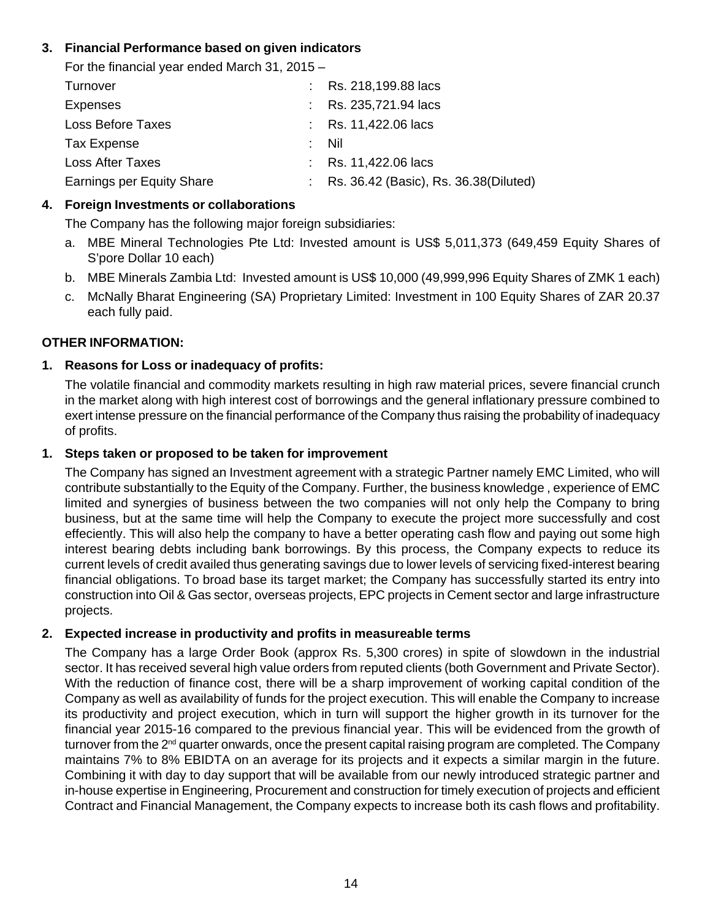# **3. Financial Performance based on given indicators**

For the financial year ended March 31, 2015 – Turnover : Rs. 218,199.88 lacs Expenses : Rs. 235,721.94 lacs Loss Before Taxes : Rs. 11,422.06 lacs Tax Expense : Nil Loss After Taxes : Rs. 11,422.06 lacs Earnings per Equity Share : Rs. 36.42 (Basic), Rs. 36.38 (Diluted)

# **4. Foreign Investments or collaborations**

The Company has the following major foreign subsidiaries:

- a. MBE Mineral Technologies Pte Ltd: Invested amount is US\$ 5,011,373 (649,459 Equity Shares of S'pore Dollar 10 each)
- b. MBE Minerals Zambia Ltd: Invested amount is US\$ 10,000 (49,999,996 Equity Shares of ZMK 1 each)
- c. McNally Bharat Engineering (SA) Proprietary Limited: Investment in 100 Equity Shares of ZAR 20.37 each fully paid.

# **OTHER INFORMATION:**

# **1. Reasons for Loss or inadequacy of profits:**

The volatile financial and commodity markets resulting in high raw material prices, severe financial crunch in the market along with high interest cost of borrowings and the general inflationary pressure combined to exert intense pressure on the financial performance of the Company thus raising the probability of inadequacy of profits.

## **1. Steps taken or proposed to be taken for improvement**

The Company has signed an Investment agreement with a strategic Partner namely EMC Limited, who will contribute substantially to the Equity of the Company. Further, the business knowledge , experience of EMC limited and synergies of business between the two companies will not only help the Company to bring business, but at the same time will help the Company to execute the project more successfully and cost effeciently. This will also help the company to have a better operating cash flow and paying out some high interest bearing debts including bank borrowings. By this process, the Company expects to reduce its current levels of credit availed thus generating savings due to lower levels of servicing fixed-interest bearing financial obligations. To broad base its target market; the Company has successfully started its entry into construction into Oil & Gas sector, overseas projects, EPC projects in Cement sector and large infrastructure projects.

### **2. Expected increase in productivity and profits in measureable terms**

The Company has a large Order Book (approx Rs. 5,300 crores) in spite of slowdown in the industrial sector. It has received several high value orders from reputed clients (both Government and Private Sector). With the reduction of finance cost, there will be a sharp improvement of working capital condition of the Company as well as availability of funds for the project execution. This will enable the Company to increase its productivity and project execution, which in turn will support the higher growth in its turnover for the financial year 2015-16 compared to the previous financial year. This will be evidenced from the growth of turnover from the  $2<sup>nd</sup>$  quarter onwards, once the present capital raising program are completed. The Company maintains 7% to 8% EBIDTA on an average for its projects and it expects a similar margin in the future. Combining it with day to day support that will be available from our newly introduced strategic partner and in-house expertise in Engineering, Procurement and construction for timely execution of projects and efficient Contract and Financial Management, the Company expects to increase both its cash flows and profitability.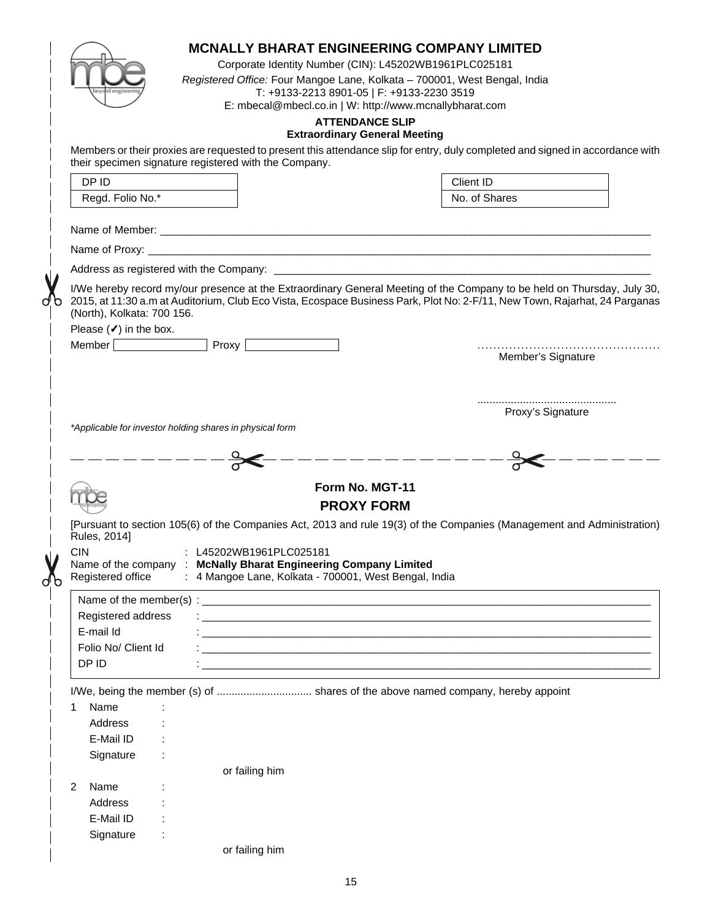|                                                 |                                                                                            |                                                          | Corporate Identity Number (CIN): L45202WB1961PLC025181<br>T: +9133-2213 8901-05   F: +9133-2230 3519<br>E: mbecal@mbecl.co.in   W: http://www.mcnallybharat.com | <b>ATTENDANCE SLIP</b>               | <b>MCNALLY BHARAT ENGINEERING COMPANY LIMITED</b><br>Registered Office: Four Mangoe Lane, Kolkata - 700001, West Bengal, India                   |  |
|-------------------------------------------------|--------------------------------------------------------------------------------------------|----------------------------------------------------------|-----------------------------------------------------------------------------------------------------------------------------------------------------------------|--------------------------------------|--------------------------------------------------------------------------------------------------------------------------------------------------|--|
|                                                 |                                                                                            |                                                          |                                                                                                                                                                 | <b>Extraordinary General Meeting</b> |                                                                                                                                                  |  |
|                                                 |                                                                                            | their specimen signature registered with the Company.    |                                                                                                                                                                 |                                      | Members or their proxies are requested to present this attendance slip for entry, duly completed and signed in accordance with                   |  |
| DP ID                                           |                                                                                            |                                                          |                                                                                                                                                                 |                                      | Client ID                                                                                                                                        |  |
|                                                 | Regd. Folio No.*                                                                           |                                                          |                                                                                                                                                                 |                                      | No. of Shares                                                                                                                                    |  |
|                                                 |                                                                                            |                                                          |                                                                                                                                                                 |                                      |                                                                                                                                                  |  |
|                                                 |                                                                                            |                                                          |                                                                                                                                                                 |                                      |                                                                                                                                                  |  |
|                                                 |                                                                                            |                                                          |                                                                                                                                                                 |                                      |                                                                                                                                                  |  |
|                                                 | (North), Kolkata: 700 156.<br>Please $(\checkmark)$ in the box.<br>Member   <b>William</b> |                                                          | Proxy                                                                                                                                                           |                                      | 2015, at 11:30 a.m at Auditorium, Club Eco Vista, Ecospace Business Park, Plot No: 2-F/11, New Town, Rajarhat, 24 Parganas<br>Member's Signature |  |
|                                                 |                                                                                            |                                                          |                                                                                                                                                                 |                                      | Proxy's Signature                                                                                                                                |  |
|                                                 |                                                                                            | *Applicable for investor holding shares in physical form |                                                                                                                                                                 |                                      |                                                                                                                                                  |  |
|                                                 |                                                                                            |                                                          |                                                                                                                                                                 |                                      |                                                                                                                                                  |  |
|                                                 |                                                                                            |                                                          |                                                                                                                                                                 |                                      |                                                                                                                                                  |  |
|                                                 |                                                                                            |                                                          |                                                                                                                                                                 |                                      |                                                                                                                                                  |  |
|                                                 |                                                                                            |                                                          |                                                                                                                                                                 | Form No. MGT-11                      |                                                                                                                                                  |  |
|                                                 |                                                                                            |                                                          |                                                                                                                                                                 | <b>PROXY FORM</b>                    |                                                                                                                                                  |  |
| Rules, 2014]<br><b>CIN</b><br>Registered office |                                                                                            | : L45202WB1961PLC025181                                  | Name of the company : McNally Bharat Engineering Company Limited<br>: 4 Mangoe Lane, Kolkata - 700001, West Bengal, India                                       |                                      | [Pursuant to section 105(6) of the Companies Act, 2013 and rule 19(3) of the Companies (Management and Administration)                           |  |
|                                                 |                                                                                            |                                                          |                                                                                                                                                                 |                                      |                                                                                                                                                  |  |
|                                                 | Registered address                                                                         |                                                          |                                                                                                                                                                 |                                      |                                                                                                                                                  |  |
| E-mail Id                                       |                                                                                            |                                                          |                                                                                                                                                                 |                                      |                                                                                                                                                  |  |
|                                                 | Folio No/ Client Id                                                                        |                                                          |                                                                                                                                                                 |                                      |                                                                                                                                                  |  |
| DP ID                                           |                                                                                            |                                                          |                                                                                                                                                                 |                                      |                                                                                                                                                  |  |
|                                                 |                                                                                            |                                                          |                                                                                                                                                                 |                                      | I/We, being the member (s) of  shares of the above named company, hereby appoint                                                                 |  |
| Name<br>1                                       |                                                                                            |                                                          |                                                                                                                                                                 |                                      |                                                                                                                                                  |  |
| Address                                         |                                                                                            |                                                          |                                                                                                                                                                 |                                      |                                                                                                                                                  |  |
| E-Mail ID                                       |                                                                                            |                                                          |                                                                                                                                                                 |                                      |                                                                                                                                                  |  |
| Signature                                       |                                                                                            |                                                          |                                                                                                                                                                 |                                      |                                                                                                                                                  |  |
|                                                 |                                                                                            | or failing him                                           |                                                                                                                                                                 |                                      |                                                                                                                                                  |  |
| Name<br>2                                       |                                                                                            |                                                          |                                                                                                                                                                 |                                      |                                                                                                                                                  |  |
| Address                                         |                                                                                            |                                                          |                                                                                                                                                                 |                                      |                                                                                                                                                  |  |
| E-Mail ID                                       |                                                                                            |                                                          |                                                                                                                                                                 |                                      |                                                                                                                                                  |  |
| Signature                                       |                                                                                            |                                                          |                                                                                                                                                                 |                                      |                                                                                                                                                  |  |
|                                                 |                                                                                            | or failing him                                           |                                                                                                                                                                 |                                      |                                                                                                                                                  |  |
|                                                 |                                                                                            |                                                          |                                                                                                                                                                 |                                      |                                                                                                                                                  |  |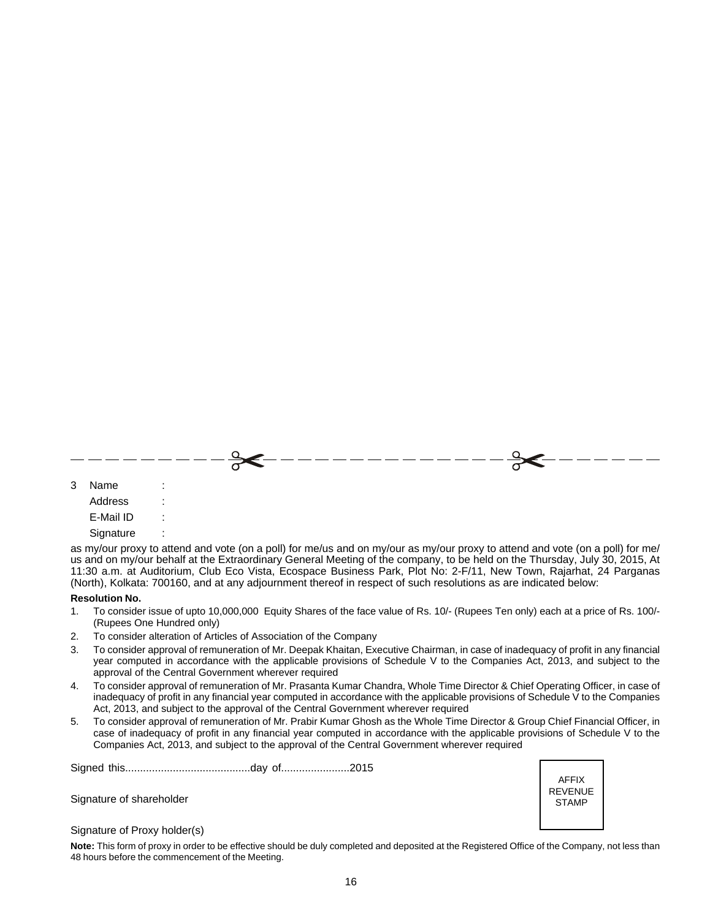| 3 Name    | $\sim$ 100 $\pm$ |  |  |  |
|-----------|------------------|--|--|--|
| Address   | $\sim 10$        |  |  |  |
| E-Mail ID | $\sim 100$       |  |  |  |

**Signature** 

as my/our proxy to attend and vote (on a poll) for me/us and on my/our as my/our proxy to attend and vote (on a poll) for me/ us and on my/our behalf at the Extraordinary General Meeting of the company, to be held on the Thursday, July 30, 2015, At 11:30 a.m. at Auditorium, Club Eco Vista, Ecospace Business Park, Plot No: 2-F/11, New Town, Rajarhat, 24 Parganas (North), Kolkata: 700160, and at any adjournment thereof in respect of such resolutions as are indicated below:

#### **Resolution No.**

- 1. To consider issue of upto 10,000,000 Equity Shares of the face value of Rs. 10/- (Rupees Ten only) each at a price of Rs. 100/- (Rupees One Hundred only)
- 2. To consider alteration of Articles of Association of the Company
- 3. To consider approval of remuneration of Mr. Deepak Khaitan, Executive Chairman, in case of inadequacy of profit in any financial year computed in accordance with the applicable provisions of Schedule V to the Companies Act, 2013, and subject to the approval of the Central Government wherever required
- 4. To consider approval of remuneration of Mr. Prasanta Kumar Chandra, Whole Time Director & Chief Operating Officer, in case of inadequacy of profit in any financial year computed in accordance with the applicable provisions of Schedule V to the Companies Act, 2013, and subject to the approval of the Central Government wherever required
- 5. To consider approval of remuneration of Mr. Prabir Kumar Ghosh as the Whole Time Director & Group Chief Financial Officer, in case of inadequacy of profit in any financial year computed in accordance with the applicable provisions of Schedule V to the Companies Act, 2013, and subject to the approval of the Central Government wherever required

Signed this..........................................day of.......................2015

Signature of shareholder

AFFIX REVENUE STAMP

Signature of Proxy holder(s)

**Note:** This form of proxy in order to be effective should be duly completed and deposited at the Registered Office of the Company, not less than 48 hours before the commencement of the Meeting.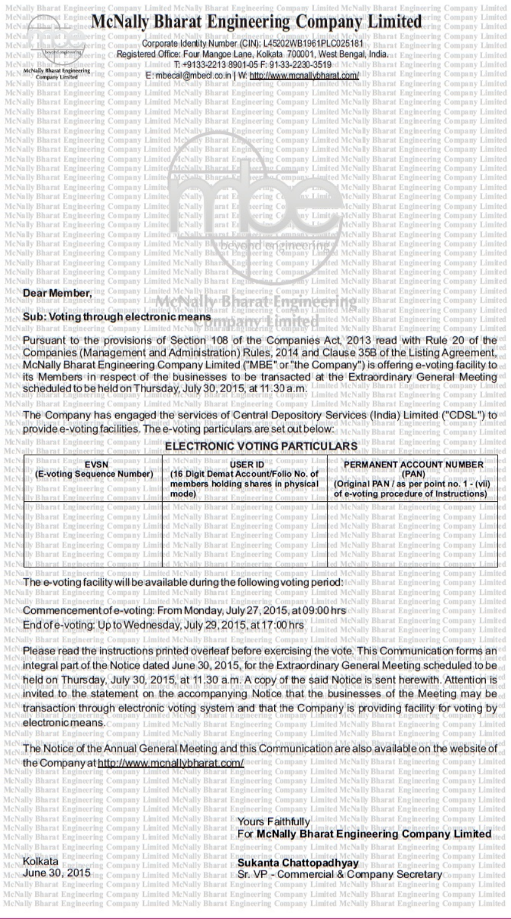|                                                                                                                                                                                                                                          | Corporate Identity Number (CIN): L45202WB1961PLC025181<br>Registered Office: Four Mangoe Lane, Kolkata, 700001, West Bengal, India                                                                                                                                                                                                                                                                                                                                                                                                                                                                                                                                                                                                                                                                                                                                                                                                                                                                                                                                                                                                                                                                                                                                                                                                                                                                                                    |                                                                                                                                                                                                                                                                            |
|------------------------------------------------------------------------------------------------------------------------------------------------------------------------------------------------------------------------------------------|---------------------------------------------------------------------------------------------------------------------------------------------------------------------------------------------------------------------------------------------------------------------------------------------------------------------------------------------------------------------------------------------------------------------------------------------------------------------------------------------------------------------------------------------------------------------------------------------------------------------------------------------------------------------------------------------------------------------------------------------------------------------------------------------------------------------------------------------------------------------------------------------------------------------------------------------------------------------------------------------------------------------------------------------------------------------------------------------------------------------------------------------------------------------------------------------------------------------------------------------------------------------------------------------------------------------------------------------------------------------------------------------------------------------------------------|----------------------------------------------------------------------------------------------------------------------------------------------------------------------------------------------------------------------------------------------------------------------------|
|                                                                                                                                                                                                                                          | Limited T: +9133-2213 8901-05 F: 91-33-2230-3519ed McNally Bhara                                                                                                                                                                                                                                                                                                                                                                                                                                                                                                                                                                                                                                                                                                                                                                                                                                                                                                                                                                                                                                                                                                                                                                                                                                                                                                                                                                      |                                                                                                                                                                                                                                                                            |
|                                                                                                                                                                                                                                          | mbecal@mbecl.co.in   W. http://www.mcnallybharat.com/                                                                                                                                                                                                                                                                                                                                                                                                                                                                                                                                                                                                                                                                                                                                                                                                                                                                                                                                                                                                                                                                                                                                                                                                                                                                                                                                                                                 |                                                                                                                                                                                                                                                                            |
|                                                                                                                                                                                                                                          | ompany Limited McNally Bharat Engineering Company Limited McNally Bhar                                                                                                                                                                                                                                                                                                                                                                                                                                                                                                                                                                                                                                                                                                                                                                                                                                                                                                                                                                                                                                                                                                                                                                                                                                                                                                                                                                |                                                                                                                                                                                                                                                                            |
|                                                                                                                                                                                                                                          | Company Limited McNally Bharat Engineering Company Limited McNally Bharat                                                                                                                                                                                                                                                                                                                                                                                                                                                                                                                                                                                                                                                                                                                                                                                                                                                                                                                                                                                                                                                                                                                                                                                                                                                                                                                                                             |                                                                                                                                                                                                                                                                            |
|                                                                                                                                                                                                                                          | aarat Engineering Company Limited McNally Bharat Engineering Company Limited McNally Bharat                                                                                                                                                                                                                                                                                                                                                                                                                                                                                                                                                                                                                                                                                                                                                                                                                                                                                                                                                                                                                                                                                                                                                                                                                                                                                                                                           |                                                                                                                                                                                                                                                                            |
|                                                                                                                                                                                                                                          | arat Engineering Company Limited McNally Bharat Engineering Company Limited McNally Bharat                                                                                                                                                                                                                                                                                                                                                                                                                                                                                                                                                                                                                                                                                                                                                                                                                                                                                                                                                                                                                                                                                                                                                                                                                                                                                                                                            |                                                                                                                                                                                                                                                                            |
| arat Engineering Company Limited McNally B<br>rat Engineering Company Limit                                                                                                                                                              |                                                                                                                                                                                                                                                                                                                                                                                                                                                                                                                                                                                                                                                                                                                                                                                                                                                                                                                                                                                                                                                                                                                                                                                                                                                                                                                                                                                                                                       | neering Company Limited McNally Bharat Engineering                                                                                                                                                                                                                         |
| harat Engineering Company Limited                                                                                                                                                                                                        |                                                                                                                                                                                                                                                                                                                                                                                                                                                                                                                                                                                                                                                                                                                                                                                                                                                                                                                                                                                                                                                                                                                                                                                                                                                                                                                                                                                                                                       | ompany Limited McNally Bharat Engineering<br>Company                                                                                                                                                                                                                       |
| arat Engineering Company Limited                                                                                                                                                                                                         |                                                                                                                                                                                                                                                                                                                                                                                                                                                                                                                                                                                                                                                                                                                                                                                                                                                                                                                                                                                                                                                                                                                                                                                                                                                                                                                                                                                                                                       | imited McNally Bharat Engineering                                                                                                                                                                                                                                          |
| Engineering Company Limited<br>harat Engineering Company Limited                                                                                                                                                                         |                                                                                                                                                                                                                                                                                                                                                                                                                                                                                                                                                                                                                                                                                                                                                                                                                                                                                                                                                                                                                                                                                                                                                                                                                                                                                                                                                                                                                                       | ed McNally Bharat Engineering<br>McNally Bharat Engineering                                                                                                                                                                                                                |
| Engineering Company                                                                                                                                                                                                                      |                                                                                                                                                                                                                                                                                                                                                                                                                                                                                                                                                                                                                                                                                                                                                                                                                                                                                                                                                                                                                                                                                                                                                                                                                                                                                                                                                                                                                                       | Engineering Company                                                                                                                                                                                                                                                        |
| harat Engineering Company Limited                                                                                                                                                                                                        | <b>CNally</b>                                                                                                                                                                                                                                                                                                                                                                                                                                                                                                                                                                                                                                                                                                                                                                                                                                                                                                                                                                                                                                                                                                                                                                                                                                                                                                                                                                                                                         | Bharat Engineering Company                                                                                                                                                                                                                                                 |
| Engineering Company Limited                                                                                                                                                                                                              | <b>cNall</b>                                                                                                                                                                                                                                                                                                                                                                                                                                                                                                                                                                                                                                                                                                                                                                                                                                                                                                                                                                                                                                                                                                                                                                                                                                                                                                                                                                                                                          | Bharat Engineering Company                                                                                                                                                                                                                                                 |
| harat Engineering Company Limited<br>Engineering Company Limite                                                                                                                                                                          | lc Nally                                                                                                                                                                                                                                                                                                                                                                                                                                                                                                                                                                                                                                                                                                                                                                                                                                                                                                                                                                                                                                                                                                                                                                                                                                                                                                                                                                                                                              | Bharat Engineering Company L<br><b>Engineering Company</b>                                                                                                                                                                                                                 |
| Engineering Company                                                                                                                                                                                                                      |                                                                                                                                                                                                                                                                                                                                                                                                                                                                                                                                                                                                                                                                                                                                                                                                                                                                                                                                                                                                                                                                                                                                                                                                                                                                                                                                                                                                                                       |                                                                                                                                                                                                                                                                            |
| arat Engineering Company Limited                                                                                                                                                                                                         |                                                                                                                                                                                                                                                                                                                                                                                                                                                                                                                                                                                                                                                                                                                                                                                                                                                                                                                                                                                                                                                                                                                                                                                                                                                                                                                                                                                                                                       |                                                                                                                                                                                                                                                                            |
| harat Engineering Company Limited McN                                                                                                                                                                                                    |                                                                                                                                                                                                                                                                                                                                                                                                                                                                                                                                                                                                                                                                                                                                                                                                                                                                                                                                                                                                                                                                                                                                                                                                                                                                                                                                                                                                                                       |                                                                                                                                                                                                                                                                            |
| arat Engineering Company Limited McN<br>Bharat Engineering Company Limited McN                                                                                                                                                           |                                                                                                                                                                                                                                                                                                                                                                                                                                                                                                                                                                                                                                                                                                                                                                                                                                                                                                                                                                                                                                                                                                                                                                                                                                                                                                                                                                                                                                       |                                                                                                                                                                                                                                                                            |
| McNally Bharat Engineering Company Limited McNally Bharat                                                                                                                                                                                |                                                                                                                                                                                                                                                                                                                                                                                                                                                                                                                                                                                                                                                                                                                                                                                                                                                                                                                                                                                                                                                                                                                                                                                                                                                                                                                                                                                                                                       | imited McNally Bharat Engineering Company                                                                                                                                                                                                                                  |
|                                                                                                                                                                                                                                          |                                                                                                                                                                                                                                                                                                                                                                                                                                                                                                                                                                                                                                                                                                                                                                                                                                                                                                                                                                                                                                                                                                                                                                                                                                                                                                                                                                                                                                       | Engineering Company                                                                                                                                                                                                                                                        |
|                                                                                                                                                                                                                                          |                                                                                                                                                                                                                                                                                                                                                                                                                                                                                                                                                                                                                                                                                                                                                                                                                                                                                                                                                                                                                                                                                                                                                                                                                                                                                                                                                                                                                                       |                                                                                                                                                                                                                                                                            |
| Sub: Voting through electronic means                                                                                                                                                                                                     |                                                                                                                                                                                                                                                                                                                                                                                                                                                                                                                                                                                                                                                                                                                                                                                                                                                                                                                                                                                                                                                                                                                                                                                                                                                                                                                                                                                                                                       |                                                                                                                                                                                                                                                                            |
|                                                                                                                                                                                                                                          |                                                                                                                                                                                                                                                                                                                                                                                                                                                                                                                                                                                                                                                                                                                                                                                                                                                                                                                                                                                                                                                                                                                                                                                                                                                                                                                                                                                                                                       |                                                                                                                                                                                                                                                                            |
|                                                                                                                                                                                                                                          | ally Bharat Engineering Company Limited McNally Bharat Engineering Company Limited Mc<br>The Company has engaged the services of Central Depository Services<br>provide e-voting facilities. The e-voting particulars are set out below:                                                                                                                                                                                                                                                                                                                                                                                                                                                                                                                                                                                                                                                                                                                                                                                                                                                                                                                                                                                                                                                                                                                                                                                              |                                                                                                                                                                                                                                                                            |
|                                                                                                                                                                                                                                          | <b>ELECTRONIC VOTING PARTICULARS</b>                                                                                                                                                                                                                                                                                                                                                                                                                                                                                                                                                                                                                                                                                                                                                                                                                                                                                                                                                                                                                                                                                                                                                                                                                                                                                                                                                                                                  |                                                                                                                                                                                                                                                                            |
| <b>EVSN</b>                                                                                                                                                                                                                              | <b>USER ID</b>                                                                                                                                                                                                                                                                                                                                                                                                                                                                                                                                                                                                                                                                                                                                                                                                                                                                                                                                                                                                                                                                                                                                                                                                                                                                                                                                                                                                                        | PERMANENT ACCOUNT NUMBER                                                                                                                                                                                                                                                   |
| E-voting Sequence Number)<br>Company                                                                                                                                                                                                     | (16 Digit Demat Account/Folio No. of<br>members holding shares in physical<br>mode)<br>imited McNally Bharat Engineering Company<br>Company Limited McNally Bharat Engineering Company Limited McNally Bharat<br>ngineering Company Limited McNally Bharat Engineering Company Limited McNally Bharat Engineering Company                                                                                                                                                                                                                                                                                                                                                                                                                                                                                                                                                                                                                                                                                                                                                                                                                                                                                                                                                                                                                                                                                                             | (PAN)<br>of e-voting procedure of Instructions)<br>Bharat Engineering Company                                                                                                                                                                                              |
|                                                                                                                                                                                                                                          | ompany Limited McNally Bharat Engineering Company Limited McNally Bharat Engineering Company<br>ompany Limited McNally Bharat Engineering Company Limited McNally Bharat Engineering Company<br><b>The e-voting facility will be available during the following voting period</b> McNally Bharat Engineering Company<br>y Bharat Engineering Company Limited McNally Bharat Engineering Company Limited McNally Bharat Engineering Company<br>illy Bharat Engineering Company Limited McNally Bharat Engineering Company Limited McNally Bharat Engineering Company<br><b>Commencement of e-voting: From Monday, July 27; 2015, at 09:00 hrs</b> cNally Bharat Engineering Company Limited<br>End of e-voting: Up to Wednesday, July 29, 2015, at 17:00 hrs<br>kally Bharat Engineering Company Limited McNally Bharat Engineering Company Limited McNally Bharat Engineering Company Limited<br>Please read the instructions printed overleaf before exercising the vote. This Communication forms an<br>integral part of the Notice dated June 30, 2015, for the Extraordinary General Meeting scheduled to be<br>held on Thursday, July 30, 2015, at 11.30 a.m. A copy of the said Notice is sent herewith. Attention is<br>invited to the statement on the accompanying Notice that the businesses of the Meeting may be<br>transaction through electronic voting system and that the Company is providing facility for voting by | (Original PAN / as per point no. 1 - (vii)<br>McNally Bharat Engineering Company Limited<br>Bharat Engineering Company Limited                                                                                                                                             |
|                                                                                                                                                                                                                                          | electronic means. Company Limited McNally Bharat Engineering Company Limited McNally Bharat Engineering Company Limited<br>lly Bharat Engineering Company Limited McNally Bharat Engineering Company Limited McNally Bharat Engineering Company Limited<br>The Notice of the Annual General Meeting and this Communication are also available on the website of                                                                                                                                                                                                                                                                                                                                                                                                                                                                                                                                                                                                                                                                                                                                                                                                                                                                                                                                                                                                                                                                       |                                                                                                                                                                                                                                                                            |
|                                                                                                                                                                                                                                          | harat Engineering Company Limited McNally Bharat Engineering Company Limited McNally Bharat Engineering Company Limited<br>arat Engineering Company Limited McNally Bharat Engineering Company Limited McNally Bharat Engineering Company Limited<br>harat Engineering Company Limited McNally Bharat Engineering Company Limited McNally Bharat Engineering Company Limited<br>ngineering Company Limited McNally Bharat Engineering Company Limited McNally Bharat Engineering Company Limited.                                                                                                                                                                                                                                                                                                                                                                                                                                                                                                                                                                                                                                                                                                                                                                                                                                                                                                                                     | eering Company Limited McNally Bharat Engineering Company Limited                                                                                                                                                                                                          |
| the Company at http://www.mcnallybharat.com/<br>Bharat Engineering Company Limited McNally Bharat<br>Bharat Engineering Company Limited McNally<br>Bharat Engineering Company Limited McNally B<br>ly Bharat Engineering Company Limited | Engineering Company Limited McNally Bharat                                                                                                                                                                                                                                                                                                                                                                                                                                                                                                                                                                                                                                                                                                                                                                                                                                                                                                                                                                                                                                                                                                                                                                                                                                                                                                                                                                                            | Engineering Company Limited McNally Bharat Engineering Company Limited<br>L'Yours Faithfully Limited McNally Bharat Engineering Company Limited<br>For McNally Bharat Engineering Company Limited<br>ngineering Company Limited McNally Bharat Engineering Company Limited |